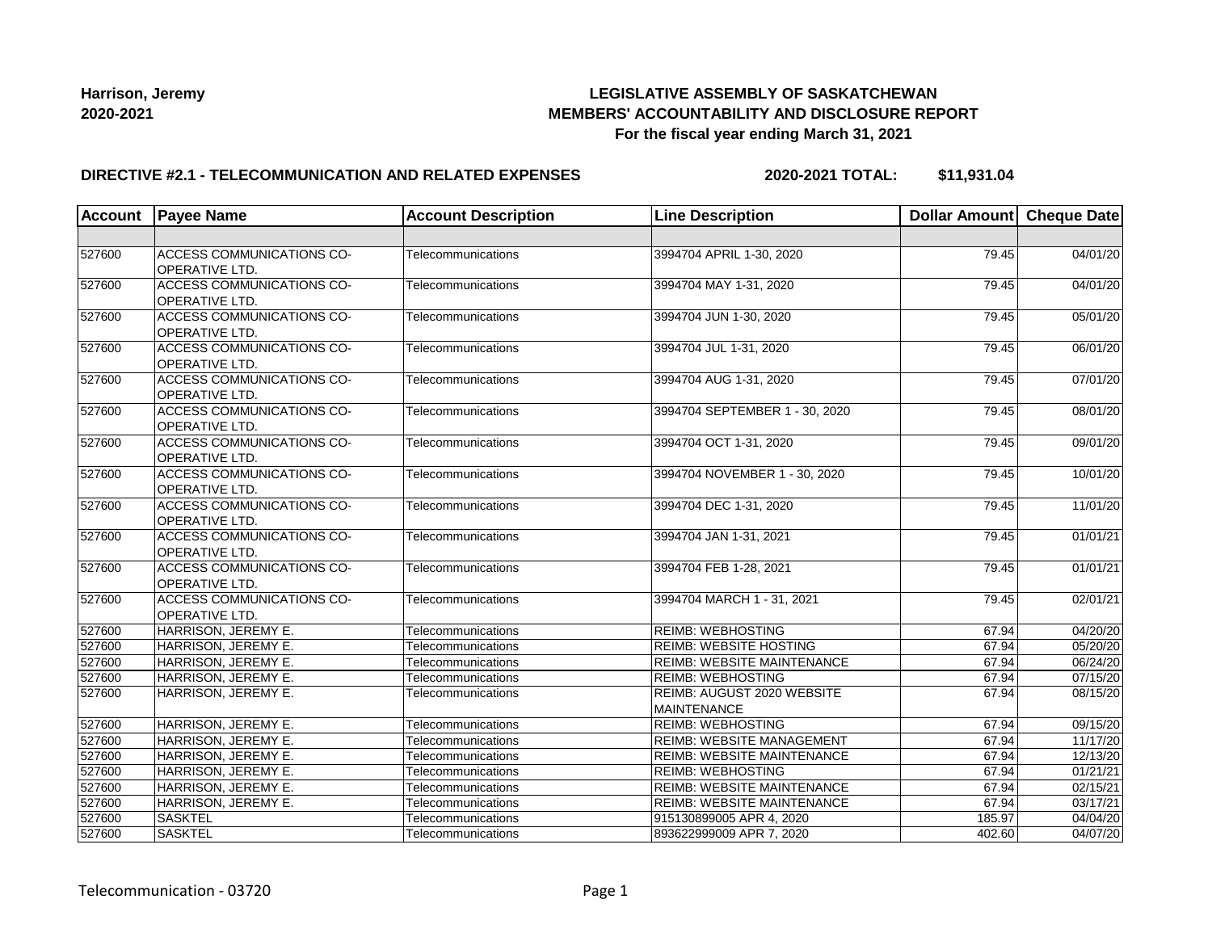## **LEGISLATIVE ASSEMBLY OF SASKATCHEWAN MEMBERS' ACCOUNTABILITY AND DISCLOSURE REPORT For the fiscal year ending March 31, 2021**

#### **DIRECTIVE #2.1 - TELECOMMUNICATION AND RELATED EXPENSES**

**2020-2021 TOTAL: \$11,931.04**

| <b>Account</b> | <b>Payee Name</b>                                         | <b>Account Description</b> | <b>Line Description</b>                          | Dollar Amount Cheque Date |          |
|----------------|-----------------------------------------------------------|----------------------------|--------------------------------------------------|---------------------------|----------|
|                |                                                           |                            |                                                  |                           |          |
| 527600         | <b>ACCESS COMMUNICATIONS CO-</b><br>OPERATIVE LTD.        | Telecommunications         | 3994704 APRIL 1-30, 2020                         | 79.45                     | 04/01/20 |
| 527600         | <b>ACCESS COMMUNICATIONS CO-</b><br><b>OPERATIVE LTD.</b> | Telecommunications         | 3994704 MAY 1-31, 2020                           | 79.45                     | 04/01/20 |
| 527600         | <b>ACCESS COMMUNICATIONS CO-</b><br>OPERATIVE LTD.        | Telecommunications         | 3994704 JUN 1-30, 2020                           | 79.45                     | 05/01/20 |
| 527600         | ACCESS COMMUNICATIONS CO-<br>OPERATIVE LTD.               | Telecommunications         | 3994704 JUL 1-31, 2020                           | 79.45                     | 06/01/20 |
| 527600         | ACCESS COMMUNICATIONS CO-<br><b>OPERATIVE LTD.</b>        | Telecommunications         | 3994704 AUG 1-31, 2020                           | 79.45                     | 07/01/20 |
| 527600         | <b>ACCESS COMMUNICATIONS CO-</b><br>OPERATIVE LTD.        | <b>Telecommunications</b>  | 3994704 SEPTEMBER 1 - 30, 2020                   | 79.45                     | 08/01/20 |
| 527600         | ACCESS COMMUNICATIONS CO-<br>OPERATIVE LTD.               | Telecommunications         | 3994704 OCT 1-31, 2020                           | 79.45                     | 09/01/20 |
| 527600         | ACCESS COMMUNICATIONS CO-<br><b>OPERATIVE LTD.</b>        | Telecommunications         | 3994704 NOVEMBER 1 - 30, 2020                    | 79.45                     | 10/01/20 |
| 527600         | <b>ACCESS COMMUNICATIONS CO-</b><br>OPERATIVE LTD.        | Telecommunications         | 3994704 DEC 1-31, 2020                           | 79.45                     | 11/01/20 |
| 527600         | ACCESS COMMUNICATIONS CO-<br>OPERATIVE LTD.               | Telecommunications         | 3994704 JAN 1-31, 2021                           | 79.45                     | 01/01/21 |
| 527600         | ACCESS COMMUNICATIONS CO-<br>OPERATIVE LTD.               | Telecommunications         | 3994704 FEB 1-28, 2021                           | 79.45                     | 01/01/21 |
| 527600         | <b>ACCESS COMMUNICATIONS CO-</b><br><b>OPERATIVE LTD.</b> | Telecommunications         | 3994704 MARCH 1 - 31, 2021                       | 79.45                     | 02/01/21 |
| 527600         | HARRISON, JEREMY E.                                       | Telecommunications         | <b>REIMB: WEBHOSTING</b>                         | 67.94                     | 04/20/20 |
| 527600         | HARRISON, JEREMY E.                                       | Telecommunications         | <b>REIMB: WEBSITE HOSTING</b>                    | 67.94                     | 05/20/20 |
| 527600         | HARRISON, JEREMY E.                                       | Telecommunications         | <b>REIMB: WEBSITE MAINTENANCE</b>                | 67.94                     | 06/24/20 |
| 527600         | HARRISON, JEREMY E.                                       | Telecommunications         | <b>REIMB: WEBHOSTING</b>                         | 67.94                     | 07/15/20 |
| 527600         | HARRISON, JEREMY E.                                       | Telecommunications         | REIMB: AUGUST 2020 WEBSITE<br><b>MAINTENANCE</b> | 67.94                     | 08/15/20 |
| 527600         | HARRISON, JEREMY E.                                       | <b>Telecommunications</b>  | <b>REIMB: WEBHOSTING</b>                         | 67.94                     | 09/15/20 |
| 527600         | HARRISON, JEREMY E.                                       | <b>Telecommunications</b>  | <b>REIMB: WEBSITE MANAGEMENT</b>                 | 67.94                     | 11/17/20 |
| 527600         | HARRISON, JEREMY E.                                       | Telecommunications         | <b>REIMB: WEBSITE MAINTENANCE</b>                | 67.94                     | 12/13/20 |
| 527600         | HARRISON, JEREMY E.                                       | Telecommunications         | <b>REIMB: WEBHOSTING</b>                         | 67.94                     | 01/21/21 |
| 527600         | HARRISON, JEREMY E.                                       | <b>Telecommunications</b>  | REIMB: WEBSITE MAINTENANCE                       | 67.94                     | 02/15/21 |
| 527600         | HARRISON, JEREMY E.                                       | Telecommunications         | <b>REIMB: WEBSITE MAINTENANCE</b>                | 67.94                     | 03/17/21 |
| 527600         | SASKTEL                                                   | Telecommunications         | 915130899005 APR 4, 2020                         | 185.97                    | 04/04/20 |
| 527600         | <b>SASKTEL</b>                                            | Telecommunications         | 893622999009 APR 7, 2020                         | 402.60                    | 04/07/20 |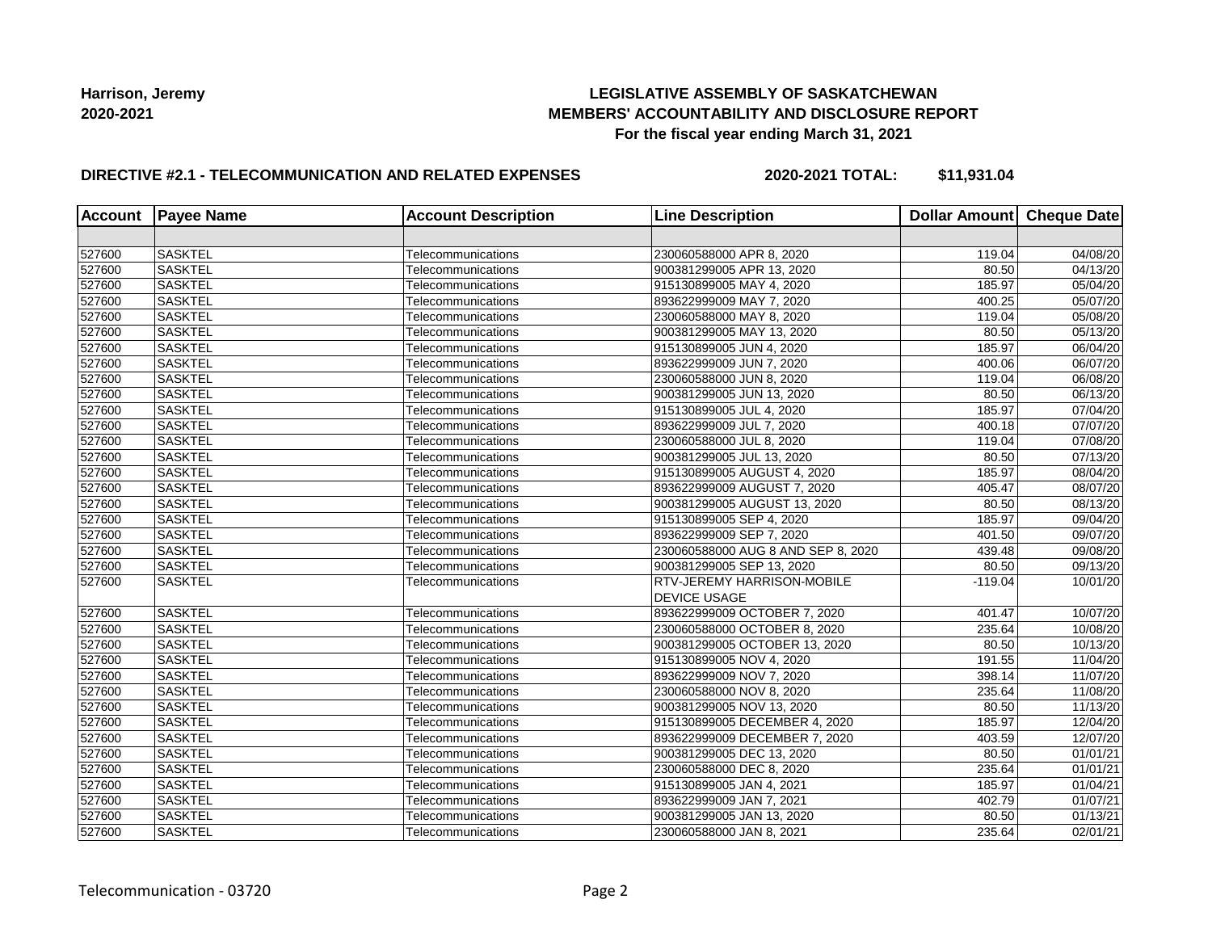## **LEGISLATIVE ASSEMBLY OF SASKATCHEWAN MEMBERS' ACCOUNTABILITY AND DISCLOSURE REPORT For the fiscal year ending March 31, 2021**

## **DIRECTIVE #2.1 - TELECOMMUNICATION AND RELATED EXPENSES**

**2020-2021 TOTAL: \$11,931.04**

| <b>Account</b> | <b>Payee Name</b> | <b>Account Description</b> | <b>Line Description</b>                                  | Dollar Amount Cheque Date |                       |
|----------------|-------------------|----------------------------|----------------------------------------------------------|---------------------------|-----------------------|
|                |                   |                            |                                                          |                           |                       |
| 527600         | <b>SASKTEL</b>    | Telecommunications         | 230060588000 APR 8, 2020                                 | 119.04                    | 04/08/20              |
| 527600         | <b>SASKTEL</b>    | Telecommunications         | 900381299005 APR 13, 2020                                | 80.50                     | $\overline{04/13/20}$ |
| 527600         | <b>SASKTEL</b>    | Telecommunications         | 915130899005 MAY 4, 2020                                 | 185.97                    | $\overline{05}/04/20$ |
| 527600         | <b>SASKTEL</b>    | Telecommunications         | 893622999009 MAY 7, 2020                                 | 400.25                    | 05/07/20              |
| 527600         | <b>SASKTEL</b>    | Telecommunications         | 230060588000 MAY 8, 2020                                 | 119.04                    | 05/08/20              |
| 527600         | <b>SASKTEL</b>    | Telecommunications         | 900381299005 MAY 13, 2020                                | 80.50                     | 05/13/20              |
| 527600         | <b>SASKTEL</b>    | Telecommunications         | 915130899005 JUN 4, 2020                                 | 185.97                    | 06/04/20              |
| 527600         | <b>SASKTEL</b>    | Telecommunications         | 893622999009 JUN 7, 2020                                 | 400.06                    | 06/07/20              |
| 527600         | <b>SASKTEL</b>    | Telecommunications         | 230060588000 JUN 8, 2020                                 | 119.04                    | 06/08/20              |
| 527600         | <b>SASKTEL</b>    | Telecommunications         | 900381299005 JUN 13, 2020                                | 80.50                     | 06/13/20              |
| 527600         | <b>SASKTEL</b>    | Telecommunications         | 915130899005 JUL 4, 2020                                 | 185.97                    | 07/04/20              |
| 527600         | <b>SASKTEL</b>    | Telecommunications         | 893622999009 JUL 7, 2020                                 | 400.18                    | 07/07/20              |
| 527600         | <b>SASKTEL</b>    | Telecommunications         | 230060588000 JUL 8, 2020                                 | 119.04                    | 07/08/20              |
| 527600         | <b>SASKTEL</b>    | Telecommunications         | 900381299005 JUL 13, 2020                                | 80.50                     | 07/13/20              |
| 527600         | <b>SASKTEL</b>    | Telecommunications         | 915130899005 AUGUST 4, 2020                              | 185.97                    | 08/04/20              |
| 527600         | <b>SASKTEL</b>    | Telecommunications         | 893622999009 AUGUST 7, 2020                              | 405.47                    | 08/07/20              |
| 527600         | <b>SASKTEL</b>    | Telecommunications         | 900381299005 AUGUST 13, 2020                             | 80.50                     | 08/13/20              |
| 527600         | <b>SASKTEL</b>    | Telecommunications         | 915130899005 SEP 4, 2020                                 | 185.97                    | 09/04/20              |
| 527600         | <b>SASKTEL</b>    | Telecommunications         | 893622999009 SEP 7, 2020                                 | 401.50                    | 09/07/20              |
| 527600         | <b>SASKTEL</b>    | Telecommunications         | 230060588000 AUG 8 AND SEP 8, 2020                       | 439.48                    | 09/08/20              |
| 527600         | <b>SASKTEL</b>    | Telecommunications         | 900381299005 SEP 13, 2020                                | 80.50                     | 09/13/20              |
| 527600         | <b>SASKTEL</b>    | Telecommunications         | <b>RTV-JEREMY HARRISON-MOBILE</b><br><b>DEVICE USAGE</b> | $-119.04$                 | 10/01/20              |
| 527600         | <b>SASKTEL</b>    | Telecommunications         | 893622999009 OCTOBER 7, 2020                             | 401.47                    | 10/07/20              |
| 527600         | <b>SASKTEL</b>    | Telecommunications         | 230060588000 OCTOBER 8, 2020                             | 235.64                    | 10/08/20              |
| 527600         | <b>SASKTEL</b>    | Telecommunications         | 900381299005 OCTOBER 13, 2020                            | 80.50                     | 10/13/20              |
| 527600         | <b>SASKTEL</b>    | Telecommunications         | 915130899005 NOV 4, 2020                                 | 191.55                    | 11/04/20              |
| 527600         | <b>SASKTEL</b>    | Telecommunications         | 893622999009 NOV 7, 2020                                 | 398.14                    | 11/07/20              |
| 527600         | <b>SASKTEL</b>    | Telecommunications         | 230060588000 NOV 8, 2020                                 | 235.64                    | 11/08/20              |
| 527600         | <b>SASKTEL</b>    | Telecommunications         | 900381299005 NOV 13, 2020                                | 80.50                     | 11/13/20              |
| 527600         | <b>SASKTEL</b>    | Telecommunications         | 915130899005 DECEMBER 4, 2020                            | 185.97                    | 12/04/20              |
| 527600         | <b>SASKTEL</b>    | Telecommunications         | 893622999009 DECEMBER 7, 2020                            | 403.59                    | 12/07/20              |
| 527600         | <b>SASKTEL</b>    | Telecommunications         | 900381299005 DEC 13, 2020                                | 80.50                     | 01/01/21              |
| 527600         | <b>SASKTEL</b>    | Telecommunications         | 230060588000 DEC 8, 2020                                 | 235.64                    | 01/01/21              |
| 527600         | <b>SASKTEL</b>    | Telecommunications         | 915130899005 JAN 4, 2021                                 | 185.97                    | 01/04/21              |
| 527600         | <b>SASKTEL</b>    | Telecommunications         | 893622999009 JAN 7, 2021                                 | 402.79                    | 01/07/21              |
| 527600         | <b>SASKTEL</b>    | Telecommunications         | 900381299005 JAN 13, 2020                                | 80.50                     | 01/13/21              |
| 527600         | <b>SASKTEL</b>    | Telecommunications         | 230060588000 JAN 8, 2021                                 | 235.64                    | 02/01/21              |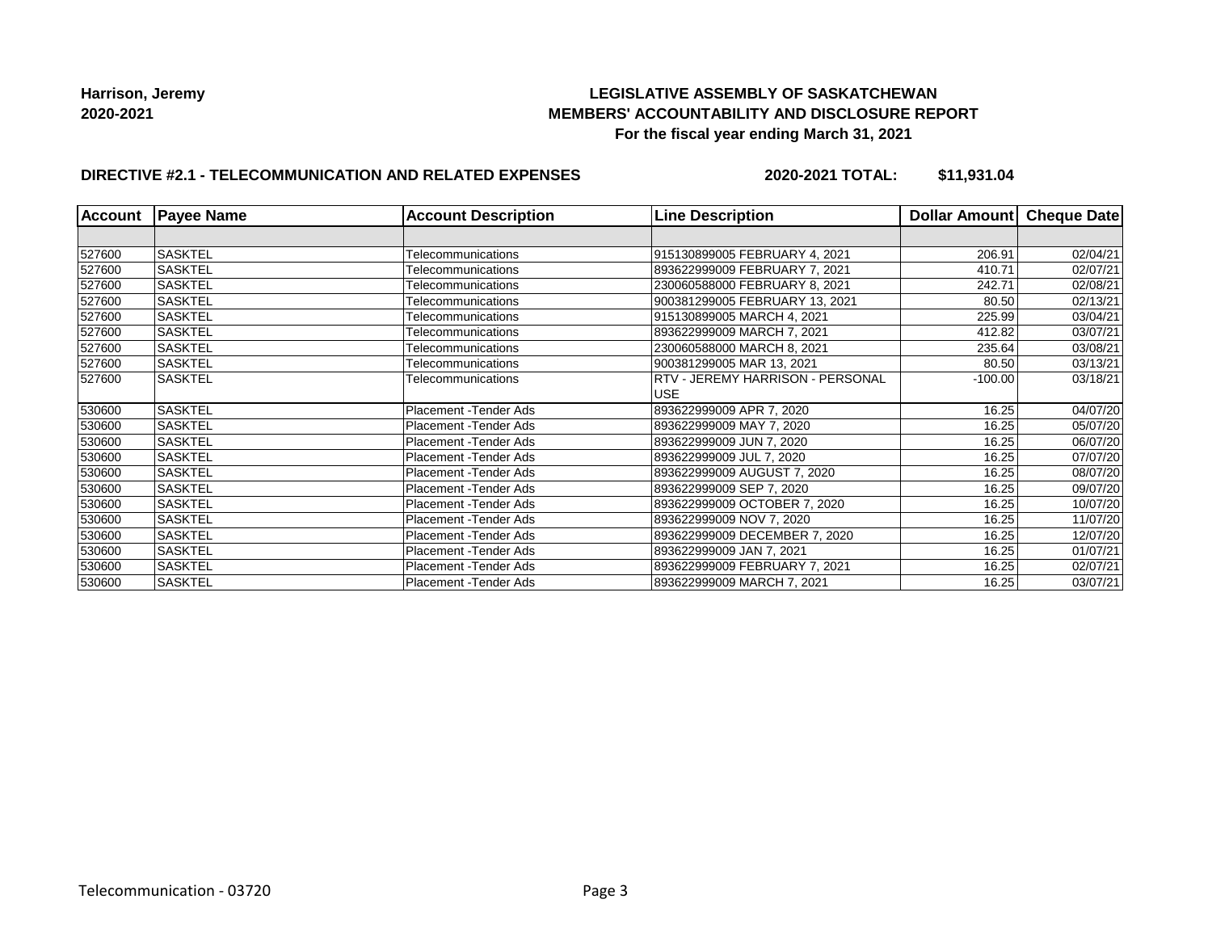## **LEGISLATIVE ASSEMBLY OF SASKATCHEWAN MEMBERS' ACCOUNTABILITY AND DISCLOSURE REPORT For the fiscal year ending March 31, 2021**

# **DIRECTIVE #2.1 - TELECOMMUNICATION AND RELATED EXPENSES**

**2020-2021 TOTAL: \$11,931.04**

| <b>Account</b> | <b>Payee Name</b> | <b>Account Description</b>    | <b>Line Description</b>                 | Dollar Amount | Cheque Date |
|----------------|-------------------|-------------------------------|-----------------------------------------|---------------|-------------|
|                |                   |                               |                                         |               |             |
| 527600         | <b>SASKTEL</b>    | Telecommunications            | 915130899005 FEBRUARY 4, 2021           | 206.91        | 02/04/21    |
| 527600         | <b>SASKTEL</b>    | Telecommunications            | 893622999009 FEBRUARY 7, 2021           | 410.71        | 02/07/21    |
| 527600         | <b>SASKTEL</b>    | Telecommunications            | 230060588000 FEBRUARY 8, 2021           | 242.71        | 02/08/21    |
| 527600         | <b>SASKTEL</b>    | Telecommunications            | 900381299005 FEBRUARY 13, 2021          | 80.50         | 02/13/21    |
| 527600         | <b>SASKTEL</b>    | Telecommunications            | 915130899005 MARCH 4, 2021              | 225.99        | 03/04/21    |
| 527600         | <b>SASKTEL</b>    | Telecommunications            | 893622999009 MARCH 7, 2021              | 412.82        | 03/07/21    |
| 527600         | <b>SASKTEL</b>    | Telecommunications            | 230060588000 MARCH 8, 2021              | 235.64        | 03/08/21    |
| 527600         | <b>SASKTEL</b>    | Telecommunications            | 900381299005 MAR 13, 2021               | 80.50         | 03/13/21    |
| 527600         | <b>SASKTEL</b>    | Telecommunications            | <b>RTV - JEREMY HARRISON - PERSONAL</b> | $-100.00$     | 03/18/21    |
|                |                   |                               | <b>USE</b>                              |               |             |
| 530600         | <b>SASKTEL</b>    | Placement - Tender Ads        | 893622999009 APR 7, 2020                | 16.25         | 04/07/20    |
| 530600         | <b>SASKTEL</b>    | Placement - Tender Ads        | 893622999009 MAY 7, 2020                | 16.25         | 05/07/20    |
| 530600         | SASKTEL           | Placement - Tender Ads        | 893622999009 JUN 7, 2020                | 16.25         | 06/07/20    |
| 530600         | <b>SASKTEL</b>    | <b>Placement - Tender Ads</b> | 893622999009 JUL 7, 2020                | 16.25         | 07/07/20    |
| 530600         | <b>SASKTEL</b>    | Placement - Tender Ads        | 893622999009 AUGUST 7, 2020             | 16.25         | 08/07/20    |
| 530600         | <b>SASKTEL</b>    | <b>Placement - Tender Ads</b> | 893622999009 SEP 7, 2020                | 16.25         | 09/07/20    |
| 530600         | <b>SASKTEL</b>    | Placement - Tender Ads        | 893622999009 OCTOBER 7, 2020            | 16.25         | 10/07/20    |
| 530600         | <b>SASKTEL</b>    | <b>Placement - Tender Ads</b> | 893622999009 NOV 7, 2020                | 16.25         | 11/07/20    |
| 530600         | <b>SASKTEL</b>    | Placement - Tender Ads        | 893622999009 DECEMBER 7, 2020           | 16.25         | 12/07/20    |
| 530600         | <b>SASKTEL</b>    | Placement - Tender Ads        | 893622999009 JAN 7, 2021                | 16.25         | 01/07/21    |
| 530600         | <b>SASKTEL</b>    | Placement - Tender Ads        | 893622999009 FEBRUARY 7, 2021           | 16.25         | 02/07/21    |
| 530600         | <b>SASKTEL</b>    | Placement -Tender Ads         | 893622999009 MARCH 7, 2021              | 16.25         | 03/07/21    |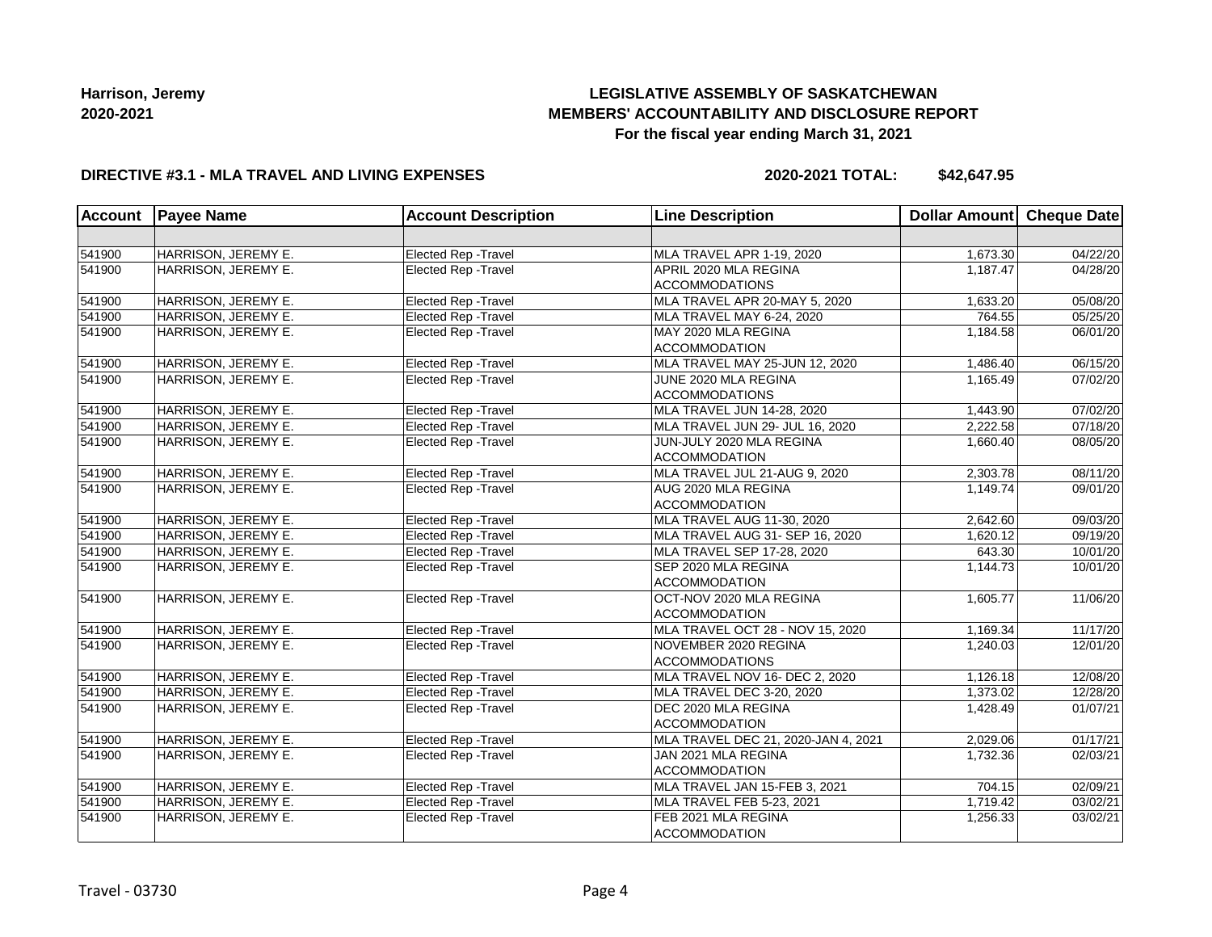# **LEGISLATIVE ASSEMBLY OF SASKATCHEWAN MEMBERS' ACCOUNTABILITY AND DISCLOSURE REPORT For the fiscal year ending March 31, 2021**

#### **DIRECTIVE #3.1 - MLA TRAVEL AND LIVING EXPENSES**

| <b>Account</b> | <b>Payee Name</b>   | <b>Account Description</b>  | <b>Line Description</b>             | Dollar Amount Cheque Date |                       |
|----------------|---------------------|-----------------------------|-------------------------------------|---------------------------|-----------------------|
|                |                     |                             |                                     |                           |                       |
| 541900         | HARRISON, JEREMY E. | Elected Rep - Travel        | MLA TRAVEL APR 1-19, 2020           | 1,673.30                  | $\overline{04/22/20}$ |
| 541900         | HARRISON, JEREMY E. | Elected Rep - Travel        | APRIL 2020 MLA REGINA               | 1,187.47                  | 04/28/20              |
|                |                     |                             | <b>ACCOMMODATIONS</b>               |                           |                       |
| 541900         | HARRISON, JEREMY E. | Elected Rep - Travel        | MLA TRAVEL APR 20-MAY 5, 2020       | 1,633.20                  | 05/08/20              |
| 541900         | HARRISON, JEREMY E. | Elected Rep - Travel        | MLA TRAVEL MAY 6-24, 2020           | 764.55                    | 05/25/20              |
| 541900         | HARRISON, JEREMY E. | Elected Rep - Travel        | MAY 2020 MLA REGINA                 | 1,184.58                  | 06/01/20              |
|                |                     |                             | <b>ACCOMMODATION</b>                |                           |                       |
| 541900         | HARRISON, JEREMY E. | Elected Rep - Travel        | MLA TRAVEL MAY 25-JUN 12, 2020      | 1,486.40                  | 06/15/20              |
| 541900         | HARRISON, JEREMY E. | Elected Rep - Travel        | JUNE 2020 MLA REGINA                | 1.165.49                  | 07/02/20              |
|                |                     |                             | <b>ACCOMMODATIONS</b>               |                           |                       |
| 541900         | HARRISON, JEREMY E. | Elected Rep - Travel        | MLA TRAVEL JUN 14-28, 2020          | 1,443.90                  | 07/02/20              |
| 541900         | HARRISON, JEREMY E. | Elected Rep - Travel        | MLA TRAVEL JUN 29- JUL 16, 2020     | 2,222.58                  | 07/18/20              |
| 541900         | HARRISON, JEREMY E. | <b>Elected Rep - Travel</b> | JUN-JULY 2020 MLA REGINA            | 1,660.40                  | 08/05/20              |
|                |                     |                             | <b>ACCOMMODATION</b>                |                           |                       |
| 541900         | HARRISON, JEREMY E. | Elected Rep - Travel        | MLA TRAVEL JUL 21-AUG 9, 2020       | 2,303.78                  | 08/11/20              |
| 541900         | HARRISON, JEREMY E. | <b>Elected Rep - Travel</b> | AUG 2020 MLA REGINA                 | 1,149.74                  | 09/01/20              |
|                |                     |                             | <b>ACCOMMODATION</b>                |                           |                       |
| 541900         | HARRISON, JEREMY E. | Elected Rep - Travel        | MLA TRAVEL AUG 11-30, 2020          | 2,642.60                  | 09/03/20              |
| 541900         | HARRISON, JEREMY E. | <b>Elected Rep - Travel</b> | MLA TRAVEL AUG 31- SEP 16, 2020     | 1,620.12                  | 09/19/20              |
| 541900         | HARRISON, JEREMY E. | Elected Rep - Travel        | MLA TRAVEL SEP 17-28, 2020          | 643.30                    | 10/01/20              |
| 541900         | HARRISON, JEREMY E. | <b>Elected Rep - Travel</b> | SEP 2020 MLA REGINA                 | 1,144.73                  | 10/01/20              |
|                |                     |                             | <b>ACCOMMODATION</b>                |                           |                       |
| 541900         | HARRISON, JEREMY E. | Elected Rep - Travel        | OCT-NOV 2020 MLA REGINA             | 1,605.77                  | 11/06/20              |
|                |                     |                             | <b>ACCOMMODATION</b>                |                           |                       |
| 541900         | HARRISON, JEREMY E. | Elected Rep - Travel        | MLA TRAVEL OCT 28 - NOV 15, 2020    | 1,169.34                  | 11/17/20              |
| 541900         | HARRISON, JEREMY E. | Elected Rep - Travel        | NOVEMBER 2020 REGINA                | 1,240.03                  | 12/01/20              |
|                |                     |                             | <b>ACCOMMODATIONS</b>               |                           |                       |
| 541900         | HARRISON, JEREMY E. | Elected Rep - Travel        | MLA TRAVEL NOV 16- DEC 2, 2020      | 1,126.18                  | 12/08/20              |
| 541900         | HARRISON, JEREMY E. | <b>Elected Rep - Travel</b> | MLA TRAVEL DEC 3-20, 2020           | 1,373.02                  | 12/28/20              |
| 541900         | HARRISON, JEREMY E. | Elected Rep - Travel        | DEC 2020 MLA REGINA                 | 1,428.49                  | 01/07/21              |
|                |                     |                             | <b>ACCOMMODATION</b>                |                           |                       |
| 541900         | HARRISON, JEREMY E. | Elected Rep - Travel        | MLA TRAVEL DEC 21, 2020-JAN 4, 2021 | 2,029.06                  | 01/17/21              |
| 541900         | HARRISON, JEREMY E. | Elected Rep - Travel        | JAN 2021 MLA REGINA                 | 1,732.36                  | 02/03/21              |
|                |                     |                             | <b>ACCOMMODATION</b>                |                           |                       |
| 541900         | HARRISON, JEREMY E. | Elected Rep - Travel        | MLA TRAVEL JAN 15-FEB 3, 2021       | 704.15                    | 02/09/21              |
| 541900         | HARRISON, JEREMY E. | <b>Elected Rep - Travel</b> | MLA TRAVEL FEB 5-23, 2021           | 1,719.42                  | 03/02/21              |
| 541900         | HARRISON, JEREMY E. | Elected Rep - Travel        | FEB 2021 MLA REGINA                 | 1,256.33                  | 03/02/21              |
|                |                     |                             | <b>ACCOMMODATION</b>                |                           |                       |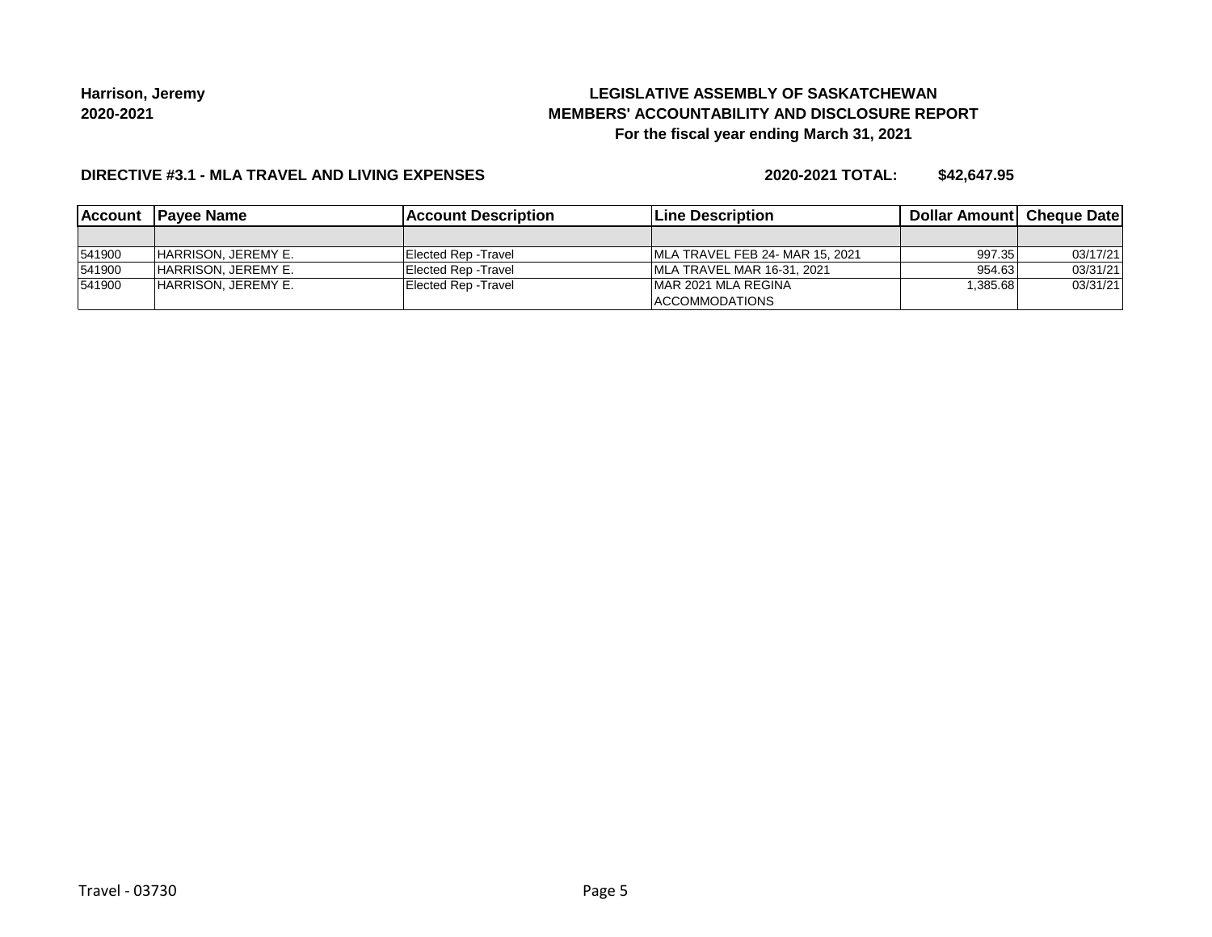# **LEGISLATIVE ASSEMBLY OF SASKATCHEWAN MEMBERS' ACCOUNTABILITY AND DISCLOSURE REPORT For the fiscal year ending March 31, 2021**

#### **DIRECTIVE #3.1 - MLA TRAVEL AND LIVING EXPENSES**

|        | Account Payee Name         | <b>IAccount Description</b> | <b>Line Description</b>          | <b>Dollar Amountl Cheque Date</b> |          |
|--------|----------------------------|-----------------------------|----------------------------------|-----------------------------------|----------|
|        |                            |                             |                                  |                                   |          |
| 541900 | <b>HARRISON, JEREMY E.</b> | Elected Rep - Travel        | IMLA TRAVEL FEB 24- MAR 15, 2021 | 997.35                            | 03/17/21 |
| 541900 | HARRISON. JEREMY E.        | Elected Rep -Travel         | IMLA TRAVEL MAR 16-31, 2021      | 954.63                            | 03/31/21 |
| 541900 | <b>HARRISON, JEREMY E.</b> | Elected Rep - Travel        | IMAR 2021 MLA REGINA             | 1,385.68                          | 03/31/21 |
|        |                            |                             | <b>ACCOMMODATIONS</b>            |                                   |          |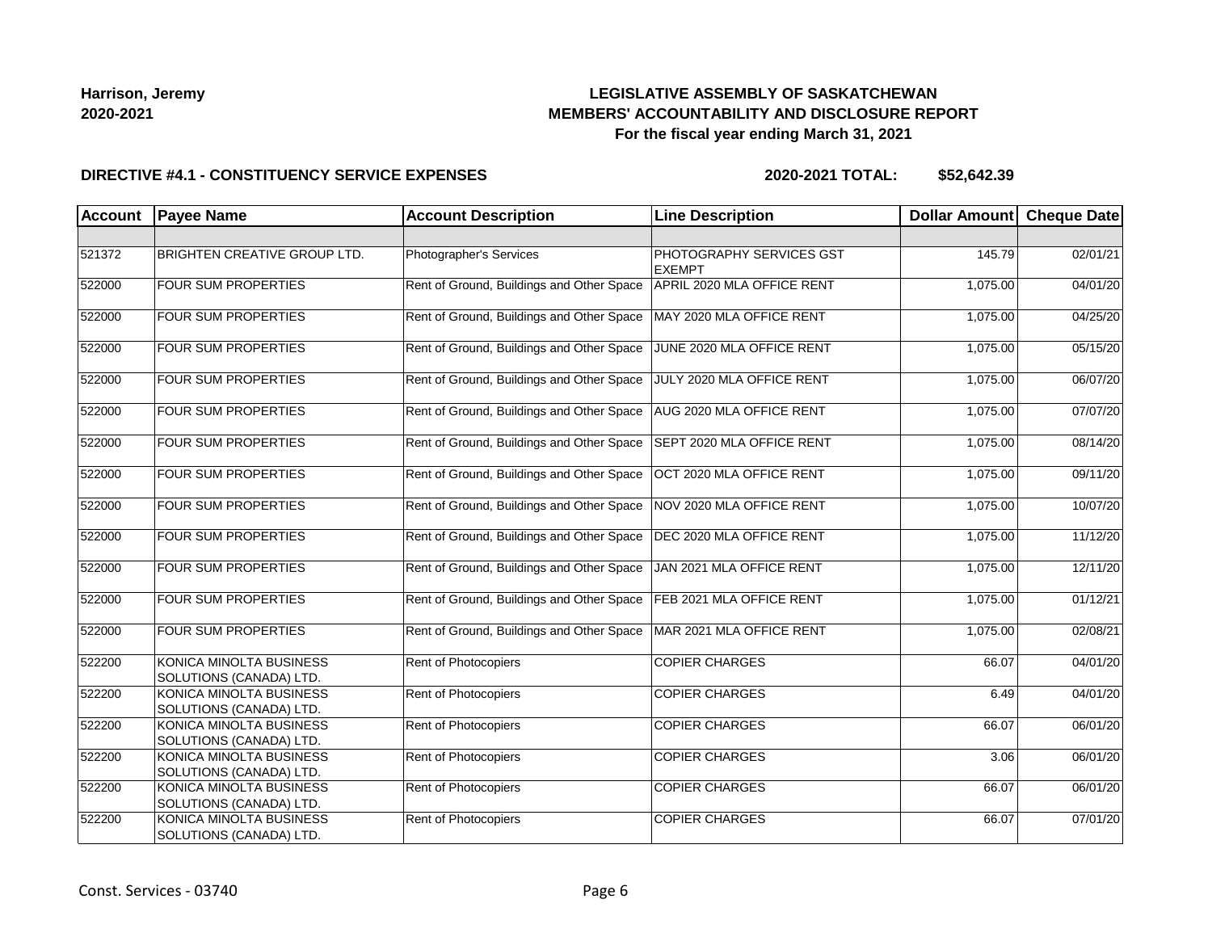## **LEGISLATIVE ASSEMBLY OF SASKATCHEWAN MEMBERS' ACCOUNTABILITY AND DISCLOSURE REPORT For the fiscal year ending March 31, 2021**

#### **DIRECTIVE #4.1 - CONSTITUENCY SERVICE EXPENSES**

| <b>Account</b> | <b>Payee Name</b>                                         | <b>Account Description</b>                | <b>Line Description</b>                   | <b>Dollar Amount</b> | <b>Cheque Date</b> |
|----------------|-----------------------------------------------------------|-------------------------------------------|-------------------------------------------|----------------------|--------------------|
|                |                                                           |                                           |                                           |                      |                    |
| 521372         | <b>BRIGHTEN CREATIVE GROUP LTD.</b>                       | Photographer's Services                   | PHOTOGRAPHY SERVICES GST<br><b>EXEMPT</b> | 145.79               | 02/01/21           |
| 522000         | <b>FOUR SUM PROPERTIES</b>                                | Rent of Ground, Buildings and Other Space | APRIL 2020 MLA OFFICE RENT                | 1,075.00             | 04/01/20           |
| 522000         | FOUR SUM PROPERTIES                                       | Rent of Ground, Buildings and Other Space | MAY 2020 MLA OFFICE RENT                  | 1,075.00             | 04/25/20           |
| 522000         | <b>FOUR SUM PROPERTIES</b>                                | Rent of Ground, Buildings and Other Space | JUNE 2020 MLA OFFICE RENT                 | 1,075.00             | 05/15/20           |
| 522000         | FOUR SUM PROPERTIES                                       | Rent of Ground, Buildings and Other Space | JULY 2020 MLA OFFICE RENT                 | 1,075.00             | 06/07/20           |
| 522000         | FOUR SUM PROPERTIES                                       | Rent of Ground, Buildings and Other Space | AUG 2020 MLA OFFICE RENT                  | 1,075.00             | 07/07/20           |
| 522000         | FOUR SUM PROPERTIES                                       | Rent of Ground, Buildings and Other Space | SEPT 2020 MLA OFFICE RENT                 | 1,075.00             | 08/14/20           |
| 522000         | FOUR SUM PROPERTIES                                       | Rent of Ground, Buildings and Other Space | OCT 2020 MLA OFFICE RENT                  | 1,075.00             | 09/11/20           |
| 522000         | FOUR SUM PROPERTIES                                       | Rent of Ground, Buildings and Other Space | NOV 2020 MLA OFFICE RENT                  | 1,075.00             | 10/07/20           |
| 522000         | FOUR SUM PROPERTIES                                       | Rent of Ground, Buildings and Other Space | DEC 2020 MLA OFFICE RENT                  | 1,075.00             | 11/12/20           |
| 522000         | FOUR SUM PROPERTIES                                       | Rent of Ground, Buildings and Other Space | JAN 2021 MLA OFFICE RENT                  | 1,075.00             | 12/11/20           |
| 522000         | FOUR SUM PROPERTIES                                       | Rent of Ground, Buildings and Other Space | FEB 2021 MLA OFFICE RENT                  | 1,075.00             | 01/12/21           |
| 522000         | <b>FOUR SUM PROPERTIES</b>                                | Rent of Ground, Buildings and Other Space | MAR 2021 MLA OFFICE RENT                  | 1,075.00             | 02/08/21           |
| 522200         | KONICA MINOLTA BUSINESS<br>SOLUTIONS (CANADA) LTD.        | Rent of Photocopiers                      | <b>COPIER CHARGES</b>                     | 66.07                | 04/01/20           |
| 522200         | KONICA MINOLTA BUSINESS<br>SOLUTIONS (CANADA) LTD.        | <b>Rent of Photocopiers</b>               | <b>COPIER CHARGES</b>                     | 6.49                 | 04/01/20           |
| 522200         | KONICA MINOLTA BUSINESS<br>SOLUTIONS (CANADA) LTD.        | Rent of Photocopiers                      | <b>COPIER CHARGES</b>                     | 66.07                | 06/01/20           |
| 522200         | KONICA MINOLTA BUSINESS<br>SOLUTIONS (CANADA) LTD.        | Rent of Photocopiers                      | <b>COPIER CHARGES</b>                     | 3.06                 | 06/01/20           |
| 522200         | <b>KONICA MINOLTA BUSINESS</b><br>SOLUTIONS (CANADA) LTD. | Rent of Photocopiers                      | <b>COPIER CHARGES</b>                     | 66.07                | 06/01/20           |
| 522200         | KONICA MINOLTA BUSINESS<br>SOLUTIONS (CANADA) LTD.        | Rent of Photocopiers                      | <b>COPIER CHARGES</b>                     | 66.07                | 07/01/20           |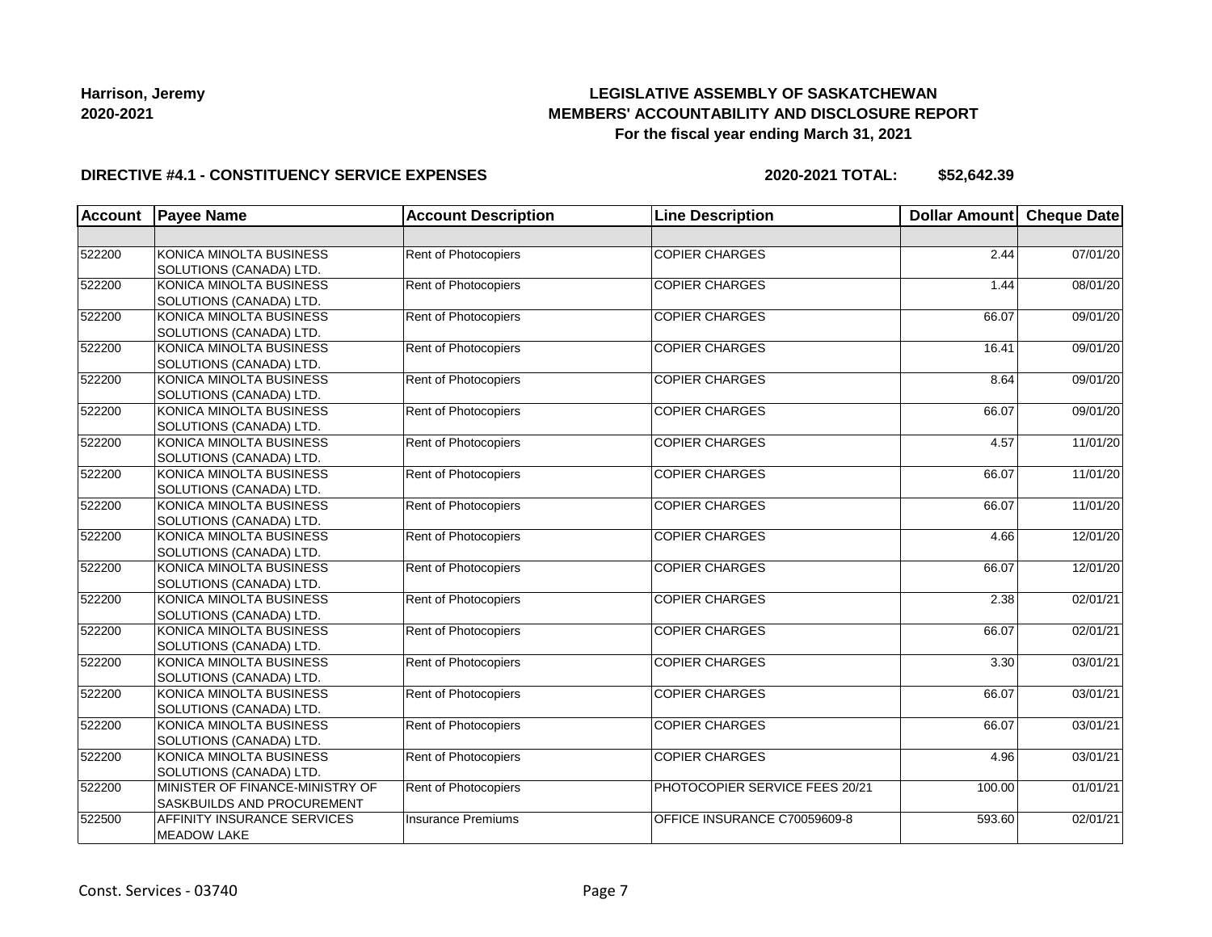## **LEGISLATIVE ASSEMBLY OF SASKATCHEWAN MEMBERS' ACCOUNTABILITY AND DISCLOSURE REPORT For the fiscal year ending March 31, 2021**

#### **DIRECTIVE #4.1 - CONSTITUENCY SERVICE EXPENSES**

| <b>Account</b> | <b>Payee Name</b>               | <b>Account Description</b>  | <b>Line Description</b>        | <b>Dollar Amount</b> | <b>Cheque Date</b> |
|----------------|---------------------------------|-----------------------------|--------------------------------|----------------------|--------------------|
|                |                                 |                             |                                |                      |                    |
| 522200         | KONICA MINOLTA BUSINESS         | Rent of Photocopiers        | <b>COPIER CHARGES</b>          | 2.44                 | 07/01/20           |
|                | SOLUTIONS (CANADA) LTD.         |                             |                                |                      |                    |
| 522200         | KONICA MINOLTA BUSINESS         | <b>Rent of Photocopiers</b> | <b>COPIER CHARGES</b>          | 1.44                 | 08/01/20           |
|                | SOLUTIONS (CANADA) LTD.         |                             |                                |                      |                    |
| 522200         | KONICA MINOLTA BUSINESS         | <b>Rent of Photocopiers</b> | <b>COPIER CHARGES</b>          | 66.07                | 09/01/20           |
|                | SOLUTIONS (CANADA) LTD.         |                             |                                |                      |                    |
| 522200         | KONICA MINOLTA BUSINESS         | <b>Rent of Photocopiers</b> | <b>COPIER CHARGES</b>          | 16.41                | 09/01/20           |
|                | SOLUTIONS (CANADA) LTD.         |                             |                                |                      |                    |
| 522200         | KONICA MINOLTA BUSINESS         | <b>Rent of Photocopiers</b> | <b>COPIER CHARGES</b>          | 8.64                 | 09/01/20           |
|                | SOLUTIONS (CANADA) LTD.         |                             |                                |                      |                    |
| 522200         | KONICA MINOLTA BUSINESS         | <b>Rent of Photocopiers</b> | <b>COPIER CHARGES</b>          | 66.07                | 09/01/20           |
|                | SOLUTIONS (CANADA) LTD.         |                             |                                |                      |                    |
| 522200         | KONICA MINOLTA BUSINESS         | <b>Rent of Photocopiers</b> | <b>COPIER CHARGES</b>          | 4.57                 | 11/01/20           |
|                | SOLUTIONS (CANADA) LTD.         |                             |                                |                      |                    |
| 522200         | KONICA MINOLTA BUSINESS         | <b>Rent of Photocopiers</b> | <b>COPIER CHARGES</b>          | 66.07                | 11/01/20           |
|                | SOLUTIONS (CANADA) LTD.         |                             |                                |                      |                    |
| 522200         | KONICA MINOLTA BUSINESS         | Rent of Photocopiers        | <b>COPIER CHARGES</b>          | 66.07                | 11/01/20           |
|                | SOLUTIONS (CANADA) LTD.         |                             |                                |                      |                    |
| 522200         | KONICA MINOLTA BUSINESS         | Rent of Photocopiers        | <b>COPIER CHARGES</b>          | 4.66                 | 12/01/20           |
|                | SOLUTIONS (CANADA) LTD.         |                             |                                |                      |                    |
| 522200         | KONICA MINOLTA BUSINESS         | <b>Rent of Photocopiers</b> | <b>COPIER CHARGES</b>          | 66.07                | 12/01/20           |
|                | SOLUTIONS (CANADA) LTD.         |                             |                                |                      |                    |
| 522200         | KONICA MINOLTA BUSINESS         | Rent of Photocopiers        | <b>COPIER CHARGES</b>          | 2.38                 | 02/01/21           |
|                | SOLUTIONS (CANADA) LTD.         |                             |                                |                      |                    |
| 522200         | KONICA MINOLTA BUSINESS         | Rent of Photocopiers        | <b>COPIER CHARGES</b>          | 66.07                | 02/01/21           |
|                | SOLUTIONS (CANADA) LTD.         |                             |                                |                      |                    |
| 522200         | KONICA MINOLTA BUSINESS         | Rent of Photocopiers        | <b>COPIER CHARGES</b>          | 3.30                 | 03/01/21           |
|                | SOLUTIONS (CANADA) LTD.         |                             |                                |                      |                    |
| 522200         | KONICA MINOLTA BUSINESS         | Rent of Photocopiers        | <b>COPIER CHARGES</b>          | 66.07                | 03/01/21           |
|                | SOLUTIONS (CANADA) LTD.         |                             |                                |                      |                    |
| 522200         | KONICA MINOLTA BUSINESS         | Rent of Photocopiers        | <b>COPIER CHARGES</b>          | 66.07                | 03/01/21           |
|                | SOLUTIONS (CANADA) LTD.         |                             |                                |                      |                    |
| 522200         | KONICA MINOLTA BUSINESS         | Rent of Photocopiers        | <b>COPIER CHARGES</b>          | 4.96                 | 03/01/21           |
|                | SOLUTIONS (CANADA) LTD.         |                             |                                |                      |                    |
| 522200         | MINISTER OF FINANCE-MINISTRY OF | Rent of Photocopiers        | PHOTOCOPIER SERVICE FEES 20/21 | 100.00               | 01/01/21           |
|                | SASKBUILDS AND PROCUREMENT      |                             |                                |                      |                    |
| 522500         | AFFINITY INSURANCE SERVICES     | <b>Insurance Premiums</b>   | OFFICE INSURANCE C70059609-8   | 593.60               | 02/01/21           |
|                | <b>MEADOW LAKE</b>              |                             |                                |                      |                    |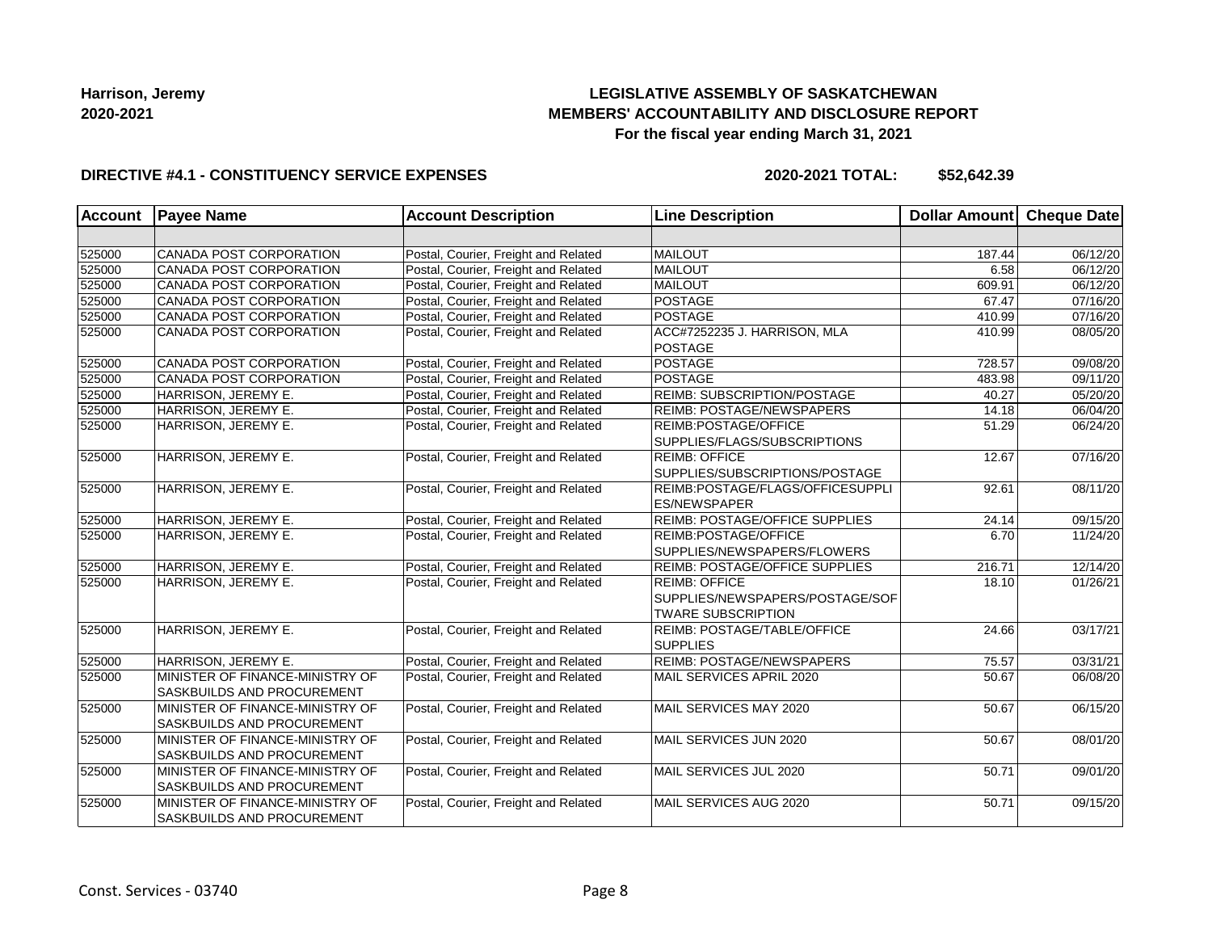## **LEGISLATIVE ASSEMBLY OF SASKATCHEWAN MEMBERS' ACCOUNTABILITY AND DISCLOSURE REPORT For the fiscal year ending March 31, 2021**

#### **DIRECTIVE #4.1 - CONSTITUENCY SERVICE EXPENSES**

| <b>Account</b> | <b>Payee Name</b>                                                    | <b>Account Description</b>           | <b>Line Description</b>                                                              | <b>Dollar Amount</b> | Cheque Date |
|----------------|----------------------------------------------------------------------|--------------------------------------|--------------------------------------------------------------------------------------|----------------------|-------------|
|                |                                                                      |                                      |                                                                                      |                      |             |
| 525000         | CANADA POST CORPORATION                                              | Postal, Courier, Freight and Related | MAILOUT                                                                              | 187.44               | 06/12/20    |
| 525000         | CANADA POST CORPORATION                                              | Postal, Courier, Freight and Related | <b>MAILOUT</b>                                                                       | 6.58                 | 06/12/20    |
| 525000         | CANADA POST CORPORATION                                              | Postal, Courier, Freight and Related | <b>MAILOUT</b>                                                                       | 609.91               | 06/12/20    |
| 525000         | CANADA POST CORPORATION                                              | Postal, Courier, Freight and Related | POSTAGE                                                                              | 67.47                | 07/16/20    |
| 525000         | CANADA POST CORPORATION                                              | Postal, Courier, Freight and Related | POSTAGE                                                                              | 410.99               | 07/16/20    |
| 525000         | CANADA POST CORPORATION                                              | Postal, Courier, Freight and Related | ACC#7252235 J. HARRISON, MLA<br>POSTAGE                                              | 410.99               | 08/05/20    |
| 525000         | CANADA POST CORPORATION                                              | Postal, Courier, Freight and Related | POSTAGE                                                                              | 728.57               | 09/08/20    |
| 525000         | CANADA POST CORPORATION                                              | Postal, Courier, Freight and Related | <b>POSTAGE</b>                                                                       | 483.98               | 09/11/20    |
| 525000         | HARRISON, JEREMY E.                                                  | Postal, Courier, Freight and Related | <b>REIMB: SUBSCRIPTION/POSTAGE</b>                                                   | 40.27                | 05/20/20    |
| 525000         | HARRISON, JEREMY E.                                                  | Postal, Courier, Freight and Related | <b>REIMB: POSTAGE/NEWSPAPERS</b>                                                     | 14.18                | 06/04/20    |
| 525000         | HARRISON, JEREMY E.                                                  | Postal, Courier, Freight and Related | REIMB:POSTAGE/OFFICE<br>SUPPLIES/FLAGS/SUBSCRIPTIONS                                 | 51.29                | 06/24/20    |
| 525000         | HARRISON, JEREMY E.                                                  | Postal, Courier, Freight and Related | <b>REIMB: OFFICE</b><br>SUPPLIES/SUBSCRIPTIONS/POSTAGE                               | 12.67                | 07/16/20    |
| 525000         | HARRISON, JEREMY E.                                                  | Postal, Courier, Freight and Related | REIMB:POSTAGE/FLAGS/OFFICESUPPLI<br><b>ES/NEWSPAPER</b>                              | 92.61                | 08/11/20    |
| 525000         | HARRISON, JEREMY E.                                                  | Postal, Courier, Freight and Related | <b>REIMB: POSTAGE/OFFICE SUPPLIES</b>                                                | 24.14                | 09/15/20    |
| 525000         | HARRISON, JEREMY E.                                                  | Postal, Courier, Freight and Related | <b>REIMB:POSTAGE/OFFICE</b><br>SUPPLIES/NEWSPAPERS/FLOWERS                           | 6.70                 | 11/24/20    |
| 525000         | HARRISON, JEREMY E.                                                  | Postal, Courier, Freight and Related | REIMB: POSTAGE/OFFICE SUPPLIES                                                       | 216.71               | 12/14/20    |
| 525000         | HARRISON, JEREMY E.                                                  | Postal, Courier, Freight and Related | <b>REIMB: OFFICE</b><br>SUPPLIES/NEWSPAPERS/POSTAGE/SOF<br><b>TWARE SUBSCRIPTION</b> | 18.10                | 01/26/21    |
| 525000         | HARRISON, JEREMY E.                                                  | Postal, Courier, Freight and Related | REIMB: POSTAGE/TABLE/OFFICE<br><b>SUPPLIES</b>                                       | 24.66                | 03/17/21    |
| 525000         | HARRISON, JEREMY E.                                                  | Postal, Courier, Freight and Related | <b>REIMB: POSTAGE/NEWSPAPERS</b>                                                     | 75.57                | 03/31/21    |
| 525000         | MINISTER OF FINANCE-MINISTRY OF<br><b>SASKBUILDS AND PROCUREMENT</b> | Postal, Courier, Freight and Related | MAIL SERVICES APRIL 2020                                                             | 50.67                | 06/08/20    |
| 525000         | MINISTER OF FINANCE-MINISTRY OF<br><b>SASKBUILDS AND PROCUREMENT</b> | Postal, Courier, Freight and Related | MAIL SERVICES MAY 2020                                                               | 50.67                | 06/15/20    |
| 525000         | MINISTER OF FINANCE-MINISTRY OF<br><b>SASKBUILDS AND PROCUREMENT</b> | Postal, Courier, Freight and Related | MAIL SERVICES JUN 2020                                                               | 50.67                | 08/01/20    |
| 525000         | MINISTER OF FINANCE-MINISTRY OF<br><b>SASKBUILDS AND PROCUREMENT</b> | Postal, Courier, Freight and Related | MAIL SERVICES JUL 2020                                                               | 50.71                | 09/01/20    |
| 525000         | MINISTER OF FINANCE-MINISTRY OF<br>SASKBUILDS AND PROCUREMENT        | Postal, Courier, Freight and Related | MAIL SERVICES AUG 2020                                                               | 50.71                | 09/15/20    |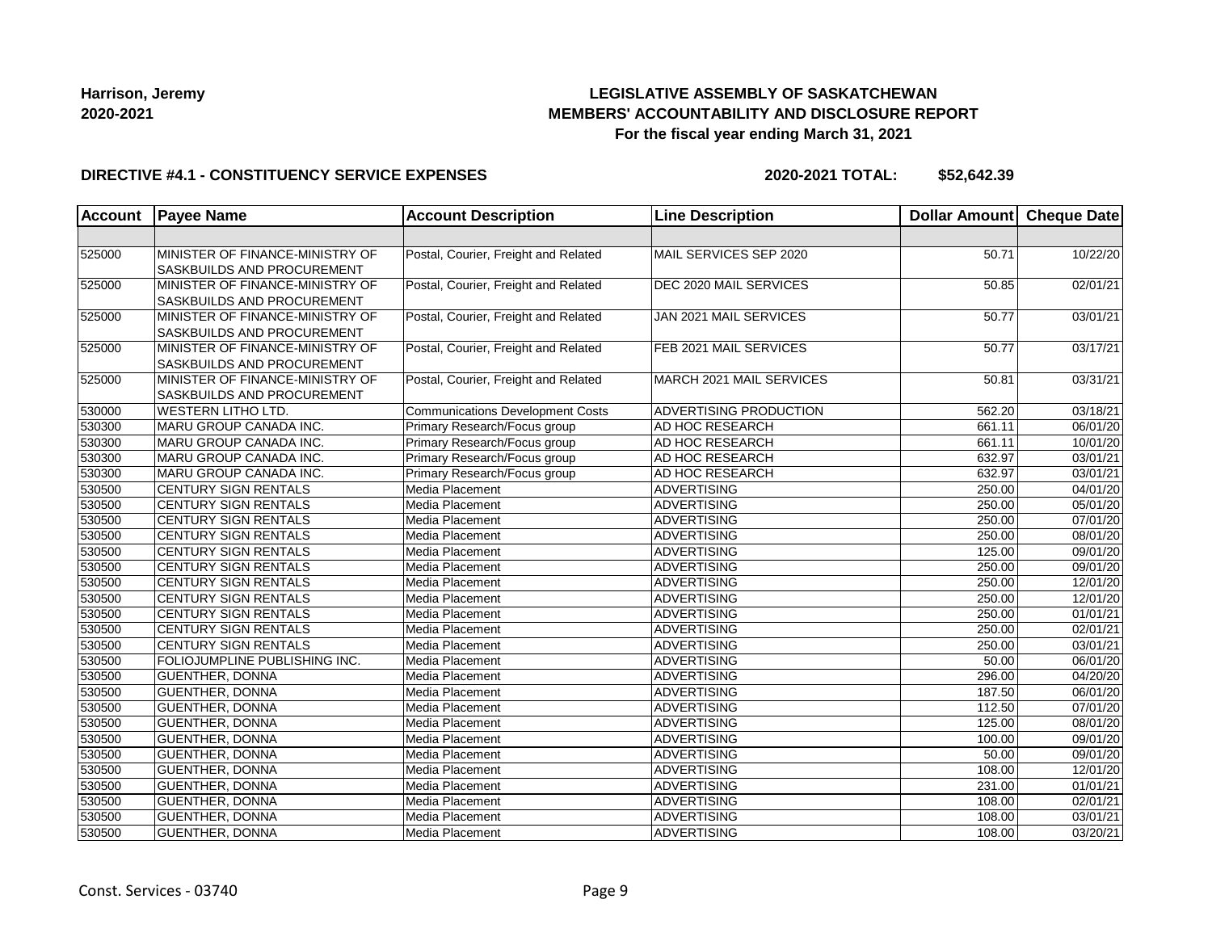## **LEGISLATIVE ASSEMBLY OF SASKATCHEWAN MEMBERS' ACCOUNTABILITY AND DISCLOSURE REPORT For the fiscal year ending March 31, 2021**

#### **DIRECTIVE #4.1 - CONSTITUENCY SERVICE EXPENSES**

| <b>Account</b> | <b>Payee Name</b>                                                    | <b>Account Description</b>              | <b>Line Description</b>  | Dollar Amount Cheque Date |                       |
|----------------|----------------------------------------------------------------------|-----------------------------------------|--------------------------|---------------------------|-----------------------|
|                |                                                                      |                                         |                          |                           |                       |
| 525000         | MINISTER OF FINANCE-MINISTRY OF<br>SASKBUILDS AND PROCUREMENT        | Postal, Courier, Freight and Related    | MAIL SERVICES SEP 2020   | 50.71                     | 10/22/20              |
| 525000         | MINISTER OF FINANCE-MINISTRY OF<br>SASKBUILDS AND PROCUREMENT        | Postal, Courier, Freight and Related    | DEC 2020 MAIL SERVICES   | 50.85                     | 02/01/21              |
| 525000         | MINISTER OF FINANCE-MINISTRY OF<br>SASKBUILDS AND PROCUREMENT        | Postal, Courier, Freight and Related    | JAN 2021 MAIL SERVICES   | 50.77                     | 03/01/21              |
| 525000         | MINISTER OF FINANCE-MINISTRY OF<br>SASKBUILDS AND PROCUREMENT        | Postal, Courier, Freight and Related    | FEB 2021 MAIL SERVICES   | 50.77                     | 03/17/21              |
| 525000         | MINISTER OF FINANCE-MINISTRY OF<br><b>SASKBUILDS AND PROCUREMENT</b> | Postal, Courier, Freight and Related    | MARCH 2021 MAIL SERVICES | 50.81                     | 03/31/21              |
| 530000         | <b>WESTERN LITHO LTD.</b>                                            | <b>Communications Development Costs</b> | ADVERTISING PRODUCTION   | 562.20                    | 03/18/21              |
| 530300         | MARU GROUP CANADA INC.                                               | Primary Research/Focus group            | AD HOC RESEARCH          | 661.11                    | 06/01/20              |
| 530300         | MARU GROUP CANADA INC.                                               | Primary Research/Focus group            | AD HOC RESEARCH          | 661.11                    | 10/01/20              |
| 530300         | MARU GROUP CANADA INC.                                               | Primary Research/Focus group            | AD HOC RESEARCH          | 632.97                    | 03/01/21              |
| 530300         | MARU GROUP CANADA INC.                                               | Primary Research/Focus group            | AD HOC RESEARCH          | 632.97                    | 03/01/21              |
| 530500         | CENTURY SIGN RENTALS                                                 | Media Placement                         | <b>ADVERTISING</b>       | 250.00                    | $\overline{04/01/20}$ |
| 530500         | CENTURY SIGN RENTALS                                                 | Media Placement                         | <b>ADVERTISING</b>       | 250.00                    | 05/01/20              |
| 530500         | CENTURY SIGN RENTALS                                                 | Media Placement                         | <b>ADVERTISING</b>       | 250.00                    | 07/01/20              |
| 530500         | CENTURY SIGN RENTALS                                                 | Media Placement                         | <b>ADVERTISING</b>       | 250.00                    | 08/01/20              |
| 530500         | <b>CENTURY SIGN RENTALS</b>                                          | Media Placement                         | <b>ADVERTISING</b>       | 125.00                    | 09/01/20              |
| 530500         | <b>CENTURY SIGN RENTALS</b>                                          | Media Placement                         | ADVERTISING              | 250.00                    | 09/01/20              |
| 530500         | <b>CENTURY SIGN RENTALS</b>                                          | Media Placement                         | <b>ADVERTISING</b>       | 250.00                    | 12/01/20              |
| 530500         | CENTURY SIGN RENTALS                                                 | Media Placement                         | <b>ADVERTISING</b>       | 250.00                    | 12/01/20              |
| 530500         | CENTURY SIGN RENTALS                                                 | Media Placement                         | <b>ADVERTISING</b>       | 250.00                    | 01/01/21              |
| 530500         | CENTURY SIGN RENTALS                                                 | Media Placement                         | <b>ADVERTISING</b>       | 250.00                    | $\overline{02/01/21}$ |
| 530500         | <b>CENTURY SIGN RENTALS</b>                                          | Media Placement                         | ADVERTISING              | 250.00                    | 03/01/21              |
| 530500         | <b>FOLIOJUMPLINE PUBLISHING INC.</b>                                 | Media Placement                         | ADVERTISING              | 50.00                     | 06/01/20              |
| 530500         | <b>GUENTHER, DONNA</b>                                               | Media Placement                         | <b>ADVERTISING</b>       | 296.00                    | 04/20/20              |
| 530500         | <b>GUENTHER, DONNA</b>                                               | Media Placement                         | <b>ADVERTISING</b>       | 187.50                    | 06/01/20              |
| 530500         | <b>GUENTHER, DONNA</b>                                               | Media Placement                         | <b>ADVERTISING</b>       | 112.50                    | 07/01/20              |
| 530500         | <b>GUENTHER, DONNA</b>                                               | Media Placement                         | <b>ADVERTISING</b>       | 125.00                    | 08/01/20              |
| 530500         | <b>GUENTHER, DONNA</b>                                               | Media Placement                         | ADVERTISING              | 100.00                    | 09/01/20              |
| 530500         | <b>GUENTHER, DONNA</b>                                               | Media Placement                         | <b>ADVERTISING</b>       | 50.00                     | 09/01/20              |
| 530500         | <b>GUENTHER, DONNA</b>                                               | Media Placement                         | <b>ADVERTISING</b>       | 108.00                    | 12/01/20              |
| 530500         | GUENTHER, DONNA                                                      | Media Placement                         | <b>ADVERTISING</b>       | 231.00                    | 01/01/21              |
| 530500         | <b>GUENTHER, DONNA</b>                                               | Media Placement                         | <b>ADVERTISING</b>       | 108.00                    | 02/01/21              |
| 530500         | GUENTHER, DONNA                                                      | Media Placement                         | <b>ADVERTISING</b>       | 108.00                    | 03/01/21              |
| 530500         | GUENTHER, DONNA                                                      | Media Placement                         | ADVERTISING              | 108.00                    | 03/20/21              |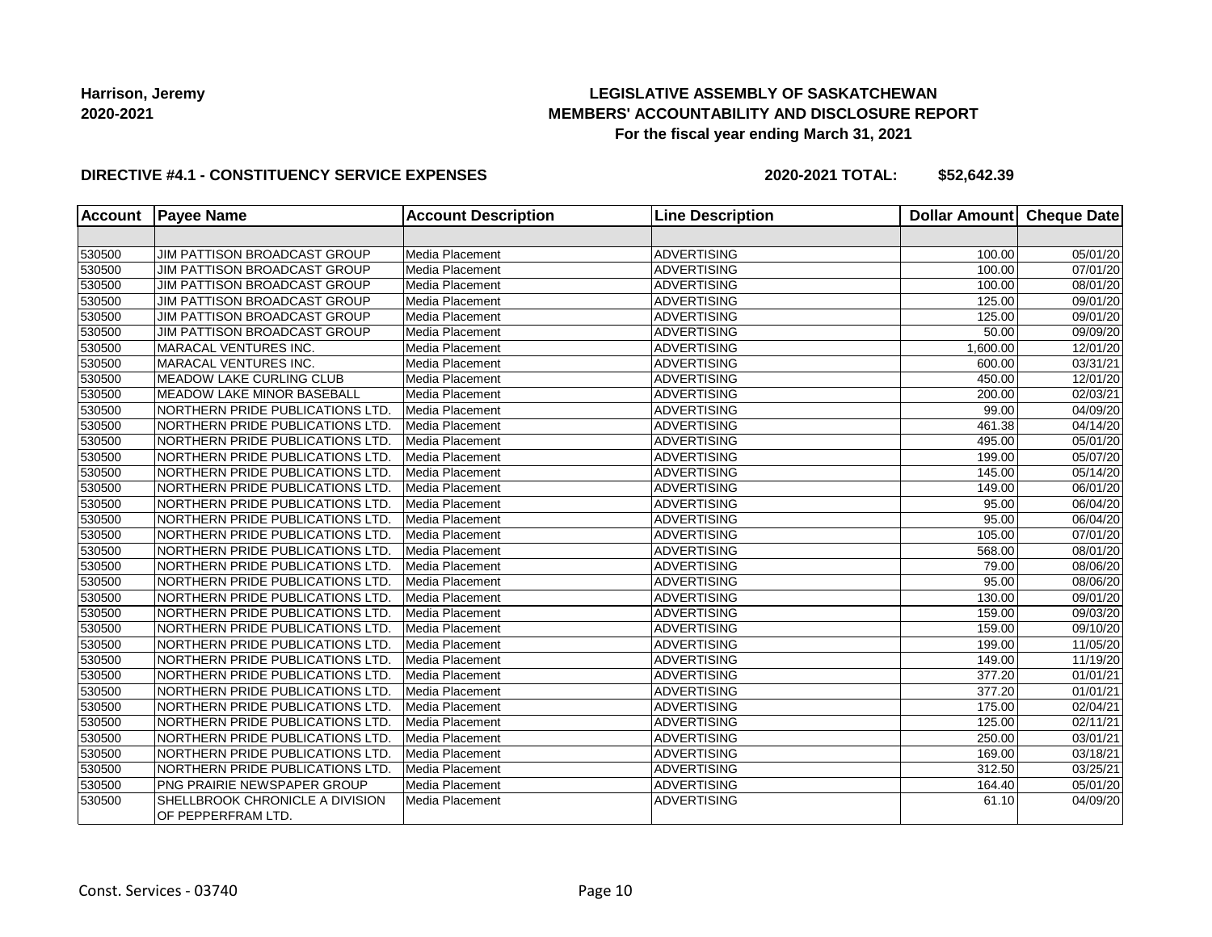## **LEGISLATIVE ASSEMBLY OF SASKATCHEWAN MEMBERS' ACCOUNTABILITY AND DISCLOSURE REPORT For the fiscal year ending March 31, 2021**

#### **DIRECTIVE #4.1 - CONSTITUENCY SERVICE EXPENSES**

| <b>Account</b> | <b>Payee Name</b>                                     | <b>Account Description</b> | <b>Line Description</b> | <b>Dollar Amount</b> | <b>Cheque Date</b> |
|----------------|-------------------------------------------------------|----------------------------|-------------------------|----------------------|--------------------|
|                |                                                       |                            |                         |                      |                    |
| 530500         | JIM PATTISON BROADCAST GROUP                          | Media Placement            | <b>ADVERTISING</b>      | 100.00               | 05/01/20           |
| 530500         | JIM PATTISON BROADCAST GROUP                          | Media Placement            | <b>ADVERTISING</b>      | 100.00               | 07/01/20           |
| 530500         | JIM PATTISON BROADCAST GROUP                          | Media Placement            | <b>ADVERTISING</b>      | 100.00               | 08/01/20           |
| 530500         | JIM PATTISON BROADCAST GROUP                          | Media Placement            | <b>ADVERTISING</b>      | 125.00               | 09/01/20           |
| 530500         | JIM PATTISON BROADCAST GROUP                          | Media Placement            | <b>ADVERTISING</b>      | 125.00               | 09/01/20           |
| 530500         | JIM PATTISON BROADCAST GROUP                          | Media Placement            | <b>ADVERTISING</b>      | 50.00                | 09/09/20           |
| 530500         | MARACAL VENTURES INC.                                 | Media Placement            | <b>ADVERTISING</b>      | 1.600.00             | 12/01/20           |
| 530500         | MARACAL VENTURES INC.                                 | Media Placement            | <b>ADVERTISING</b>      | 600.00               | 03/31/21           |
| 530500         | <b>MEADOW LAKE CURLING CLUB</b>                       | Media Placement            | <b>ADVERTISING</b>      | 450.00               | 12/01/20           |
| 530500         | MEADOW LAKE MINOR BASEBALL                            | Media Placement            | <b>ADVERTISING</b>      | 200.00               | 02/03/21           |
| 530500         | NORTHERN PRIDE PUBLICATIONS LTD                       | Media Placement            | <b>ADVERTISING</b>      | 99.00                | 04/09/20           |
| 530500         | NORTHERN PRIDE PUBLICATIONS LTD.                      | Media Placement            | <b>ADVERTISING</b>      | 461.38               | 04/14/20           |
| 530500         | NORTHERN PRIDE PUBLICATIONS LTD.                      | Media Placement            | <b>ADVERTISING</b>      | 495.00               | 05/01/20           |
| 530500         | NORTHERN PRIDE PUBLICATIONS LTD.                      | Media Placement            | <b>ADVERTISING</b>      | 199.00               | 05/07/20           |
| 530500         | NORTHERN PRIDE PUBLICATIONS LTD.                      | Media Placement            | <b>ADVERTISING</b>      | 145.00               | 05/14/20           |
| 530500         | NORTHERN PRIDE PUBLICATIONS LTD.                      | Media Placement            | <b>ADVERTISING</b>      | 149.00               | 06/01/20           |
| 530500         | NORTHERN PRIDE PUBLICATIONS LTD.                      | Media Placement            | <b>ADVERTISING</b>      | 95.00                | 06/04/20           |
| 530500         | NORTHERN PRIDE PUBLICATIONS LTD                       | Media Placement            | <b>ADVERTISING</b>      | 95.00                | 06/04/20           |
| 530500         | NORTHERN PRIDE PUBLICATIONS LTD                       | Media Placement            | <b>ADVERTISING</b>      | 105.00               | 07/01/20           |
| 530500         | <b>NORTHERN PRIDE PUBLICATIONS LTD.</b>               | Media Placement            | <b>ADVERTISING</b>      | 568.00               | 08/01/20           |
| 530500         | NORTHERN PRIDE PUBLICATIONS LTD.                      | Media Placement            | <b>ADVERTISING</b>      | 79.00                | 08/06/20           |
| 530500         | NORTHERN PRIDE PUBLICATIONS LTD.                      | Media Placement            | <b>ADVERTISING</b>      | 95.00                | 08/06/20           |
| 530500         | NORTHERN PRIDE PUBLICATIONS LTD.                      | Media Placement            | <b>ADVERTISING</b>      | 130.00               | 09/01/20           |
| 530500         | NORTHERN PRIDE PUBLICATIONS LTD.                      | Media Placement            | <b>ADVERTISING</b>      | 159.00               | 09/03/20           |
| 530500         | NORTHERN PRIDE PUBLICATIONS LTD.                      | Media Placement            | <b>ADVERTISING</b>      | 159.00               | 09/10/20           |
| 530500         | NORTHERN PRIDE PUBLICATIONS LTD.                      | Media Placement            | <b>ADVERTISING</b>      | 199.00               | 11/05/20           |
| 530500         | NORTHERN PRIDE PUBLICATIONS LTD                       | Media Placement            | <b>ADVERTISING</b>      | 149.00               | 11/19/20           |
| 530500         | NORTHERN PRIDE PUBLICATIONS LTD.                      | Media Placement            | <b>ADVERTISING</b>      | 377.20               | 01/01/21           |
| 530500         | NORTHERN PRIDE PUBLICATIONS LTD                       | Media Placement            | <b>ADVERTISING</b>      | 377.20               | 01/01/21           |
| 530500         | NORTHERN PRIDE PUBLICATIONS LTD.                      | Media Placement            | <b>ADVERTISING</b>      | 175.00               | 02/04/21           |
| 530500         | NORTHERN PRIDE PUBLICATIONS LTD.                      | Media Placement            | <b>ADVERTISING</b>      | 125.00               | 02/11/21           |
| 530500         | NORTHERN PRIDE PUBLICATIONS LTD.                      | Media Placement            | <b>ADVERTISING</b>      | 250.00               | 03/01/21           |
| 530500         | NORTHERN PRIDE PUBLICATIONS LTD.                      | Media Placement            | <b>ADVERTISING</b>      | 169.00               | 03/18/21           |
| 530500         | NORTHERN PRIDE PUBLICATIONS LTD.                      | Media Placement            | <b>ADVERTISING</b>      | 312.50               | 03/25/21           |
| 530500         | PNG PRAIRIE NEWSPAPER GROUP                           | Media Placement            | <b>ADVERTISING</b>      | 164.40               | 05/01/20           |
| 530500         | SHELLBROOK CHRONICLE A DIVISION<br>OF PEPPERFRAM LTD. | Media Placement            | <b>ADVERTISING</b>      | 61.10                | 04/09/20           |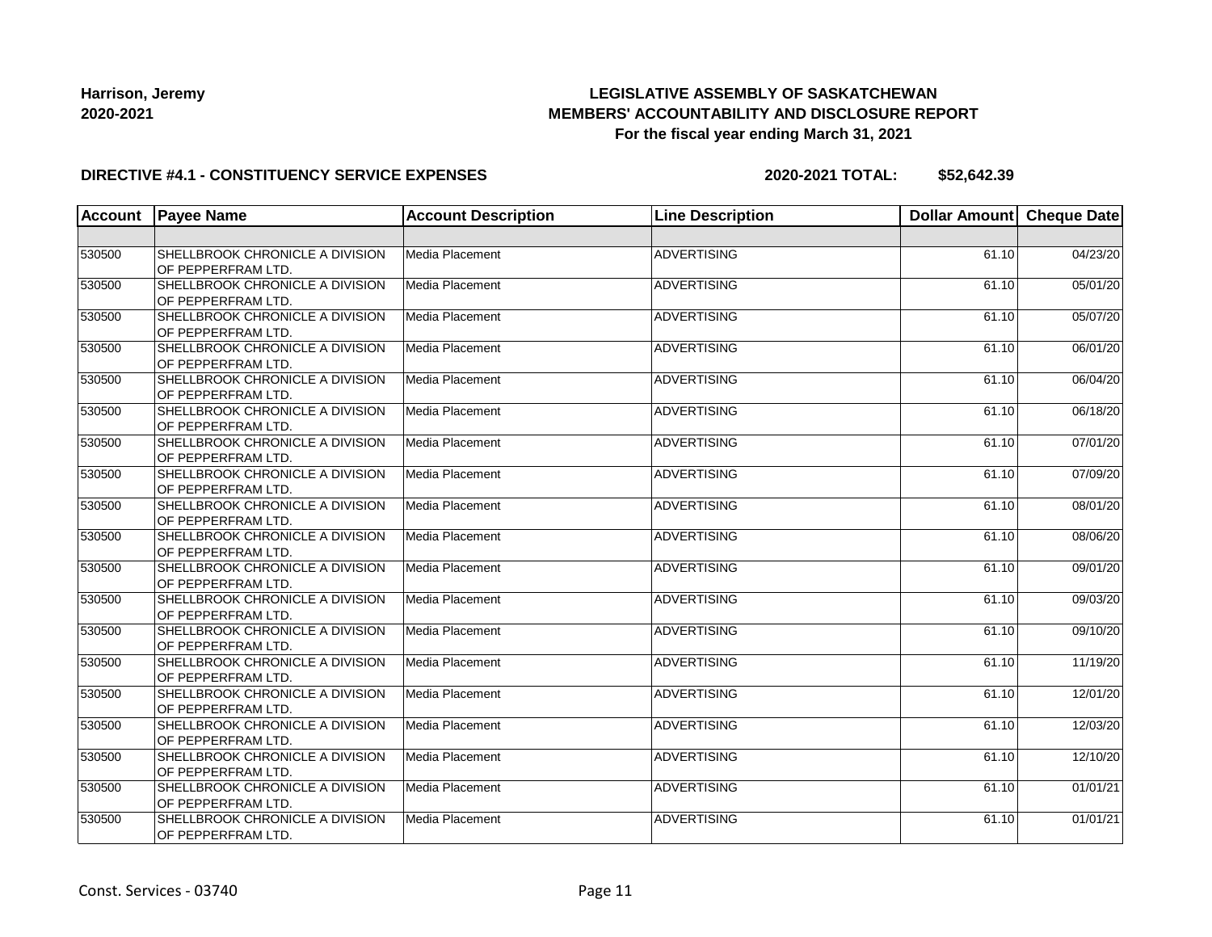## **LEGISLATIVE ASSEMBLY OF SASKATCHEWAN MEMBERS' ACCOUNTABILITY AND DISCLOSURE REPORT For the fiscal year ending March 31, 2021**

#### **DIRECTIVE #4.1 - CONSTITUENCY SERVICE EXPENSES**

| <b>Account</b> | <b>Payee Name</b>                                     | <b>Account Description</b> | <b>Line Description</b> | Dollar Amount Cheque Date |          |
|----------------|-------------------------------------------------------|----------------------------|-------------------------|---------------------------|----------|
|                |                                                       |                            |                         |                           |          |
| 530500         | SHELLBROOK CHRONICLE A DIVISION<br>OF PEPPERFRAM LTD. | Media Placement            | <b>ADVERTISING</b>      | 61.10                     | 04/23/20 |
| 530500         | SHELLBROOK CHRONICLE A DIVISION<br>OF PEPPERFRAM LTD. | Media Placement            | <b>ADVERTISING</b>      | 61.10                     | 05/01/20 |
| 530500         | SHELLBROOK CHRONICLE A DIVISION<br>OF PEPPERFRAM LTD. | Media Placement            | <b>ADVERTISING</b>      | 61.10                     | 05/07/20 |
| 530500         | SHELLBROOK CHRONICLE A DIVISION<br>OF PEPPERFRAM LTD. | Media Placement            | <b>ADVERTISING</b>      | 61.10                     | 06/01/20 |
| 530500         | SHELLBROOK CHRONICLE A DIVISION<br>OF PEPPERFRAM LTD. | Media Placement            | <b>ADVERTISING</b>      | 61.10                     | 06/04/20 |
| 530500         | SHELLBROOK CHRONICLE A DIVISION<br>OF PEPPERFRAM LTD. | Media Placement            | <b>ADVERTISING</b>      | 61.10                     | 06/18/20 |
| 530500         | SHELLBROOK CHRONICLE A DIVISION<br>OF PEPPERFRAM LTD. | Media Placement            | <b>ADVERTISING</b>      | 61.10                     | 07/01/20 |
| 530500         | SHELLBROOK CHRONICLE A DIVISION<br>OF PEPPERFRAM LTD. | Media Placement            | <b>ADVERTISING</b>      | 61.10                     | 07/09/20 |
| 530500         | SHELLBROOK CHRONICLE A DIVISION<br>OF PEPPERFRAM LTD. | Media Placement            | <b>ADVERTISING</b>      | 61.10                     | 08/01/20 |
| 530500         | SHELLBROOK CHRONICLE A DIVISION<br>OF PEPPERFRAM LTD. | Media Placement            | <b>ADVERTISING</b>      | 61.10                     | 08/06/20 |
| 530500         | SHELLBROOK CHRONICLE A DIVISION<br>OF PEPPERFRAM LTD. | Media Placement            | <b>ADVERTISING</b>      | 61.10                     | 09/01/20 |
| 530500         | SHELLBROOK CHRONICLE A DIVISION<br>OF PEPPERFRAM LTD. | Media Placement            | <b>ADVERTISING</b>      | 61.10                     | 09/03/20 |
| 530500         | SHELLBROOK CHRONICLE A DIVISION<br>OF PEPPERFRAM LTD. | Media Placement            | <b>ADVERTISING</b>      | 61.10                     | 09/10/20 |
| 530500         | SHELLBROOK CHRONICLE A DIVISION<br>OF PEPPERFRAM LTD. | Media Placement            | <b>ADVERTISING</b>      | 61.10                     | 11/19/20 |
| 530500         | SHELLBROOK CHRONICLE A DIVISION<br>OF PEPPERFRAM LTD. | Media Placement            | <b>ADVERTISING</b>      | 61.10                     | 12/01/20 |
| 530500         | SHELLBROOK CHRONICLE A DIVISION<br>OF PEPPERFRAM LTD. | Media Placement            | <b>ADVERTISING</b>      | 61.10                     | 12/03/20 |
| 530500         | SHELLBROOK CHRONICLE A DIVISION<br>OF PEPPERFRAM LTD. | Media Placement            | ADVERTISING             | 61.10                     | 12/10/20 |
| 530500         | SHELLBROOK CHRONICLE A DIVISION<br>OF PEPPERFRAM LTD. | Media Placement            | <b>ADVERTISING</b>      | 61.10                     | 01/01/21 |
| 530500         | SHELLBROOK CHRONICLE A DIVISION<br>OF PEPPERFRAM LTD. | Media Placement            | <b>ADVERTISING</b>      | 61.10                     | 01/01/21 |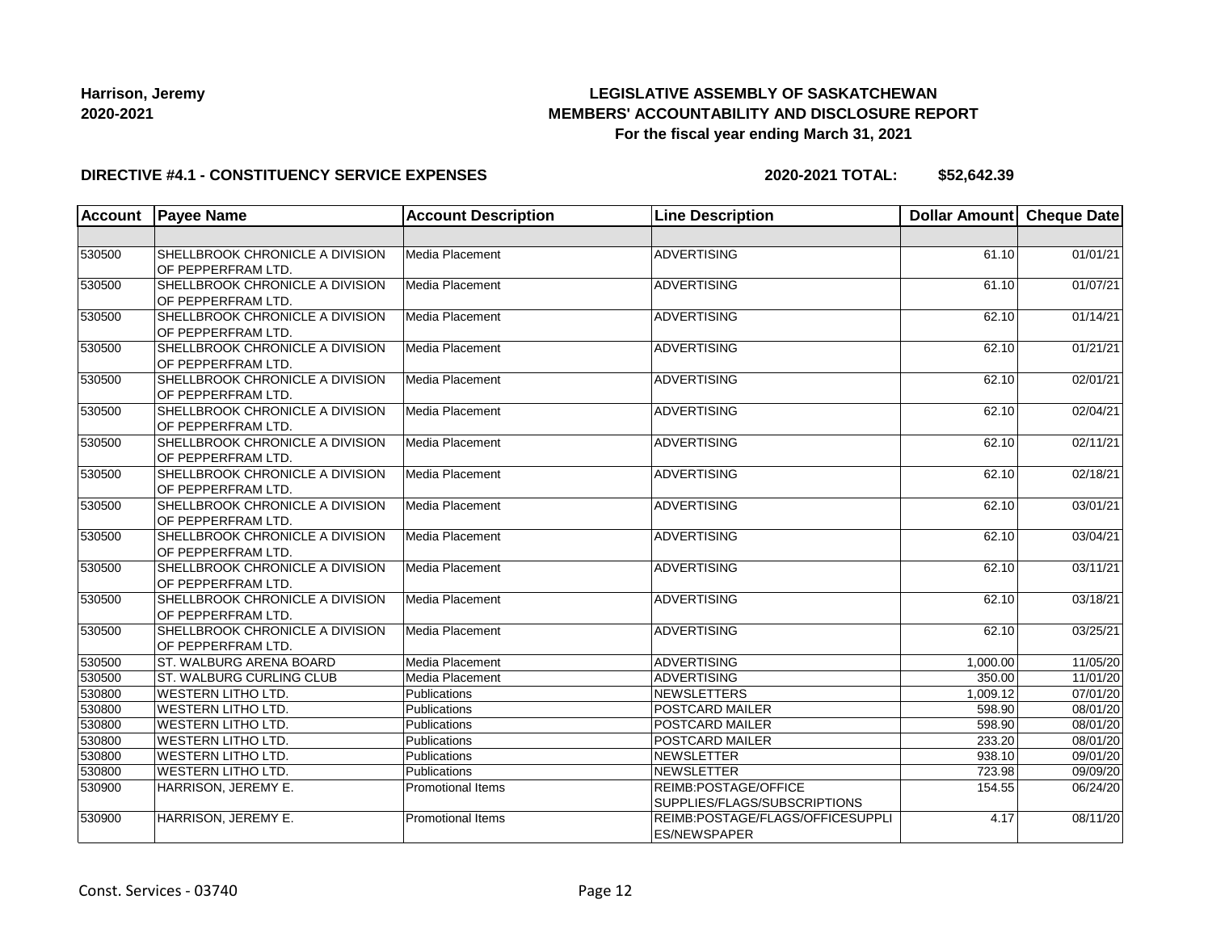## **LEGISLATIVE ASSEMBLY OF SASKATCHEWAN MEMBERS' ACCOUNTABILITY AND DISCLOSURE REPORT For the fiscal year ending March 31, 2021**

#### **DIRECTIVE #4.1 - CONSTITUENCY SERVICE EXPENSES**

| <b>Account</b> | <b>Payee Name</b>                                     | <b>Account Description</b> | <b>Line Description</b>                                 | Dollar Amount Cheque Date |          |
|----------------|-------------------------------------------------------|----------------------------|---------------------------------------------------------|---------------------------|----------|
|                |                                                       |                            |                                                         |                           |          |
| 530500         | SHELLBROOK CHRONICLE A DIVISION<br>OF PEPPERFRAM LTD. | Media Placement            | <b>ADVERTISING</b>                                      | 61.10                     | 01/01/21 |
| 530500         | SHELLBROOK CHRONICLE A DIVISION<br>OF PEPPERFRAM LTD. | Media Placement            | <b>ADVERTISING</b>                                      | 61.10                     | 01/07/21 |
| 530500         | SHELLBROOK CHRONICLE A DIVISION<br>OF PEPPERFRAM LTD. | Media Placement            | <b>ADVERTISING</b>                                      | 62.10                     | 01/14/21 |
| 530500         | SHELLBROOK CHRONICLE A DIVISION<br>OF PEPPERFRAM LTD. | Media Placement            | <b>ADVERTISING</b>                                      | 62.10                     | 01/21/21 |
| 530500         | SHELLBROOK CHRONICLE A DIVISION<br>OF PEPPERFRAM LTD. | Media Placement            | <b>ADVERTISING</b>                                      | 62.10                     | 02/01/21 |
| 530500         | SHELLBROOK CHRONICLE A DIVISION<br>OF PEPPERFRAM LTD. | Media Placement            | <b>ADVERTISING</b>                                      | 62.10                     | 02/04/21 |
| 530500         | SHELLBROOK CHRONICLE A DIVISION<br>OF PEPPERFRAM LTD. | Media Placement            | <b>ADVERTISING</b>                                      | 62.10                     | 02/11/21 |
| 530500         | SHELLBROOK CHRONICLE A DIVISION<br>OF PEPPERFRAM LTD. | Media Placement            | <b>ADVERTISING</b>                                      | 62.10                     | 02/18/21 |
| 530500         | SHELLBROOK CHRONICLE A DIVISION<br>OF PEPPERFRAM LTD. | Media Placement            | <b>ADVERTISING</b>                                      | 62.10                     | 03/01/21 |
| 530500         | SHELLBROOK CHRONICLE A DIVISION<br>OF PEPPERFRAM LTD. | Media Placement            | <b>ADVERTISING</b>                                      | 62.10                     | 03/04/21 |
| 530500         | SHELLBROOK CHRONICLE A DIVISION<br>OF PEPPERFRAM LTD. | Media Placement            | ADVERTISING                                             | 62.10                     | 03/11/21 |
| 530500         | SHELLBROOK CHRONICLE A DIVISION<br>OF PEPPERFRAM LTD. | Media Placement            | <b>ADVERTISING</b>                                      | 62.10                     | 03/18/21 |
| 530500         | SHELLBROOK CHRONICLE A DIVISION<br>OF PEPPERFRAM LTD. | Media Placement            | <b>ADVERTISING</b>                                      | 62.10                     | 03/25/21 |
| 530500         | <b>ST. WALBURG ARENA BOARD</b>                        | Media Placement            | <b>ADVERTISING</b>                                      | 1,000.00                  | 11/05/20 |
| 530500         | ST. WALBURG CURLING CLUB                              | Media Placement            | <b>ADVERTISING</b>                                      | 350.00                    | 11/01/20 |
| 530800         | <b>WESTERN LITHO LTD.</b>                             | Publications               | <b>NEWSLETTERS</b>                                      | 1.009.12                  | 07/01/20 |
| 530800         | <b>WESTERN LITHO LTD.</b>                             | Publications               | POSTCARD MAILER                                         | 598.90                    | 08/01/20 |
| 530800         | <b>WESTERN LITHO LTD.</b>                             | Publications               | POSTCARD MAILER                                         | 598.90                    | 08/01/20 |
| 530800         | <b>WESTERN LITHO LTD.</b>                             | Publications               | POSTCARD MAILER                                         | 233.20                    | 08/01/20 |
| 530800         | <b>WESTERN LITHO LTD.</b>                             | Publications               | <b>NEWSLETTER</b>                                       | 938.10                    | 09/01/20 |
| 530800         | <b>WESTERN LITHO LTD.</b>                             | Publications               | <b>NEWSLETTER</b>                                       | 723.98                    | 09/09/20 |
| 530900         | HARRISON, JEREMY E.                                   | <b>Promotional Items</b>   | REIMB:POSTAGE/OFFICE<br>SUPPLIES/FLAGS/SUBSCRIPTIONS    | 154.55                    | 06/24/20 |
| 530900         | HARRISON, JEREMY E.                                   | Promotional Items          | REIMB:POSTAGE/FLAGS/OFFICESUPPLI<br><b>ES/NEWSPAPER</b> | 4.17                      | 08/11/20 |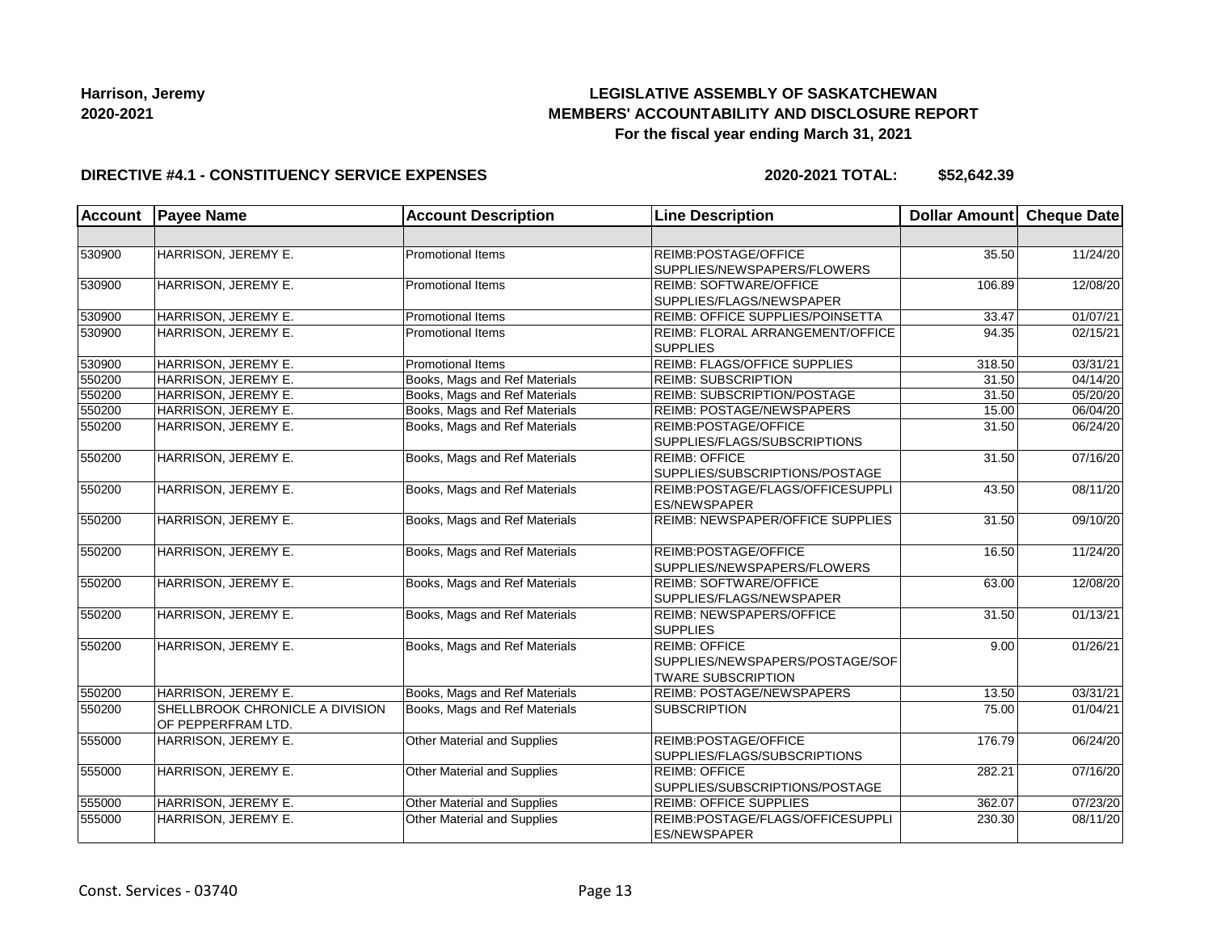## **LEGISLATIVE ASSEMBLY OF SASKATCHEWAN MEMBERS' ACCOUNTABILITY AND DISCLOSURE REPORT For the fiscal year ending March 31, 2021**

#### **DIRECTIVE #4.1 - CONSTITUENCY SERVICE EXPENSES**

| <b>Account</b> | <b>Payee Name</b>               | <b>Account Description</b>    | <b>Line Description</b>                                 | <b>Dollar Amount</b> | <b>Cheque Date</b> |
|----------------|---------------------------------|-------------------------------|---------------------------------------------------------|----------------------|--------------------|
|                |                                 |                               |                                                         |                      |                    |
| 530900         | HARRISON, JEREMY E.             | <b>Promotional Items</b>      | REIMB:POSTAGE/OFFICE                                    | 35.50                | 11/24/20           |
|                |                                 |                               | SUPPLIES/NEWSPAPERS/FLOWERS                             |                      |                    |
| 530900         | HARRISON, JEREMY E.             | <b>Promotional Items</b>      | <b>REIMB: SOFTWARE/OFFICE</b>                           | 106.89               | 12/08/20           |
|                |                                 |                               | SUPPLIES/FLAGS/NEWSPAPER                                |                      |                    |
| 530900         | HARRISON, JEREMY E.             | <b>Promotional Items</b>      | REIMB: OFFICE SUPPLIES/POINSETTA                        | 33.47                | 01/07/21           |
| 530900         | HARRISON, JEREMY E.             | <b>Promotional Items</b>      | REIMB: FLORAL ARRANGEMENT/OFFICE                        | 94.35                | 02/15/21           |
|                |                                 |                               | <b>SUPPLIES</b>                                         |                      |                    |
| 530900         | HARRISON, JEREMY E.             | <b>Promotional Items</b>      | <b>REIMB: FLAGS/OFFICE SUPPLIES</b>                     | 318.50               | 03/31/21           |
| 550200         | HARRISON, JEREMY E.             | Books, Mags and Ref Materials | <b>REIMB: SUBSCRIPTION</b>                              | 31.50                | 04/14/20           |
| 550200         | HARRISON, JEREMY E.             | Books, Mags and Ref Materials | REIMB: SUBSCRIPTION/POSTAGE                             | 31.50                | 05/20/20           |
| 550200         | HARRISON, JEREMY E.             | Books, Mags and Ref Materials | REIMB: POSTAGE/NEWSPAPERS                               | 15.00                | 06/04/20           |
| 550200         | HARRISON, JEREMY E.             | Books, Mags and Ref Materials | REIMB:POSTAGE/OFFICE                                    | 31.50                | 06/24/20           |
|                |                                 |                               | SUPPLIES/FLAGS/SUBSCRIPTIONS                            |                      |                    |
| 550200         | HARRISON, JEREMY E.             | Books, Mags and Ref Materials | <b>REIMB: OFFICE</b>                                    | 31.50                | 07/16/20           |
|                |                                 |                               | SUPPLIES/SUBSCRIPTIONS/POSTAGE                          |                      |                    |
| 550200         | HARRISON, JEREMY E.             | Books, Mags and Ref Materials | REIMB:POSTAGE/FLAGS/OFFICESUPPLI                        | 43.50                | 08/11/20           |
|                |                                 |                               | <b>ES/NEWSPAPER</b>                                     |                      |                    |
| 550200         | HARRISON, JEREMY E.             | Books, Mags and Ref Materials | REIMB: NEWSPAPER/OFFICE SUPPLIES                        | $\overline{3}1.50$   | 09/10/20           |
| 550200         | HARRISON, JEREMY E.             | Books, Mags and Ref Materials | REIMB:POSTAGE/OFFICE                                    | 16.50                | 11/24/20           |
|                |                                 |                               | SUPPLIES/NEWSPAPERS/FLOWERS                             |                      |                    |
| 550200         | HARRISON, JEREMY E.             | Books, Mags and Ref Materials | <b>REIMB: SOFTWARE/OFFICE</b>                           | 63.00                | 12/08/20           |
|                |                                 |                               | SUPPLIES/FLAGS/NEWSPAPER                                |                      |                    |
| 550200         | HARRISON, JEREMY E.             | Books, Mags and Ref Materials | <b>REIMB: NEWSPAPERS/OFFICE</b>                         | 31.50                | 01/13/21           |
|                |                                 |                               | <b>SUPPLIES</b>                                         |                      |                    |
| 550200         | HARRISON, JEREMY E.             | Books, Mags and Ref Materials | <b>REIMB: OFFICE</b>                                    | 9.00                 | 01/26/21           |
|                |                                 |                               | SUPPLIES/NEWSPAPERS/POSTAGE/SOF                         |                      |                    |
|                |                                 |                               | <b>TWARE SUBSCRIPTION</b>                               |                      |                    |
| 550200         | HARRISON, JEREMY E.             | Books, Mags and Ref Materials | <b>REIMB: POSTAGE/NEWSPAPERS</b>                        | 13.50                | 03/31/21           |
| 550200         | SHELLBROOK CHRONICLE A DIVISION | Books, Mags and Ref Materials | <b>SUBSCRIPTION</b>                                     | 75.00                | 01/04/21           |
|                | OF PEPPERFRAM LTD.              |                               |                                                         |                      |                    |
| 555000         | HARRISON, JEREMY E.             | Other Material and Supplies   | REIMB:POSTAGE/OFFICE                                    | 176.79               | 06/24/20           |
|                |                                 |                               | SUPPLIES/FLAGS/SUBSCRIPTIONS                            |                      |                    |
| 555000         | HARRISON, JEREMY E.             | Other Material and Supplies   | <b>REIMB: OFFICE</b>                                    | 282.21               | 07/16/20           |
|                |                                 |                               | SUPPLIES/SUBSCRIPTIONS/POSTAGE                          |                      |                    |
| 555000         | HARRISON, JEREMY E.             | Other Material and Supplies   | <b>REIMB: OFFICE SUPPLIES</b>                           | 362.07               | 07/23/20           |
| 555000         | HARRISON, JEREMY E.             | Other Material and Supplies   | REIMB:POSTAGE/FLAGS/OFFICESUPPLI<br><b>ES/NEWSPAPER</b> | 230.30               | 08/11/20           |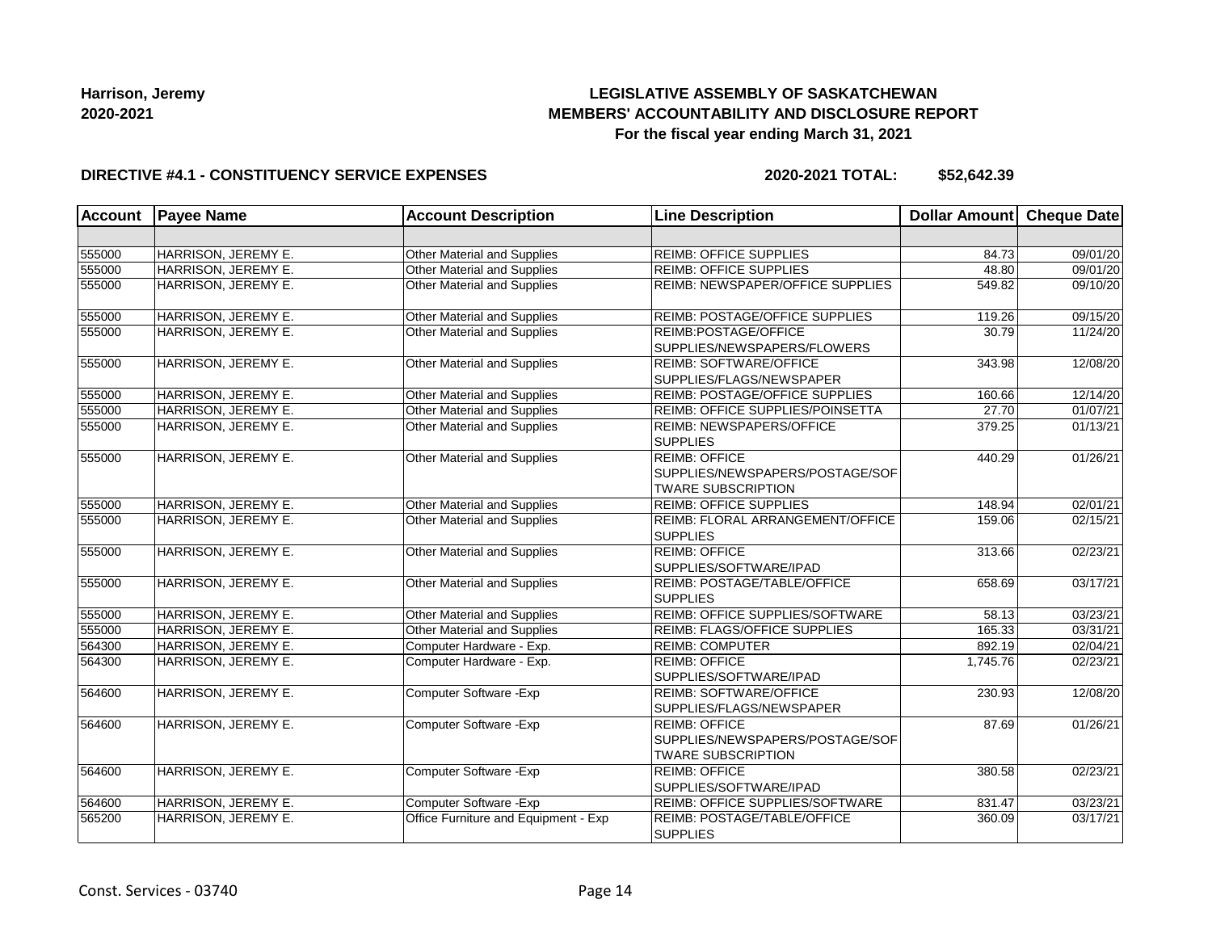## **LEGISLATIVE ASSEMBLY OF SASKATCHEWAN MEMBERS' ACCOUNTABILITY AND DISCLOSURE REPORT For the fiscal year ending March 31, 2021**

#### **DIRECTIVE #4.1 - CONSTITUENCY SERVICE EXPENSES**

| <b>Account</b> | <b>Payee Name</b>   | <b>Account Description</b>           | <b>Line Description</b>                                                              | <b>Dollar Amount</b> | <b>Cheque Date</b> |
|----------------|---------------------|--------------------------------------|--------------------------------------------------------------------------------------|----------------------|--------------------|
|                |                     |                                      |                                                                                      |                      |                    |
| 555000         | HARRISON, JEREMY E. | Other Material and Supplies          | <b>REIMB: OFFICE SUPPLIES</b>                                                        | 84.73                | 09/01/20           |
| 555000         | HARRISON, JEREMY E. | Other Material and Supplies          | <b>REIMB: OFFICE SUPPLIES</b>                                                        | 48.80                | 09/01/20           |
| 555000         | HARRISON, JEREMY E. | Other Material and Supplies          | REIMB: NEWSPAPER/OFFICE SUPPLIES                                                     | 549.82               | 09/10/20           |
| 555000         | HARRISON, JEREMY E. | Other Material and Supplies          | REIMB: POSTAGE/OFFICE SUPPLIES                                                       | 119.26               | 09/15/20           |
| 555000         | HARRISON, JEREMY E. | Other Material and Supplies          | REIMB:POSTAGE/OFFICE<br>SUPPLIES/NEWSPAPERS/FLOWERS                                  | 30.79                | 11/24/20           |
| 555000         | HARRISON, JEREMY E. | Other Material and Supplies          | <b>REIMB: SOFTWARE/OFFICE</b><br>SUPPLIES/FLAGS/NEWSPAPER                            | 343.98               | 12/08/20           |
| 555000         | HARRISON, JEREMY E. | Other Material and Supplies          | <b>REIMB: POSTAGE/OFFICE SUPPLIES</b>                                                | 160.66               | 12/14/20           |
| 555000         | HARRISON, JEREMY E. | Other Material and Supplies          | REIMB: OFFICE SUPPLIES/POINSETTA                                                     | 27.70                | 01/07/21           |
| 555000         | HARRISON, JEREMY E. | Other Material and Supplies          | <b>REIMB: NEWSPAPERS/OFFICE</b><br><b>SUPPLIES</b>                                   | 379.25               | 01/13/21           |
| 555000         | HARRISON, JEREMY E. | Other Material and Supplies          | <b>REIMB: OFFICE</b><br>SUPPLIES/NEWSPAPERS/POSTAGE/SOF<br><b>TWARE SUBSCRIPTION</b> | 440.29               | 01/26/21           |
| 555000         | HARRISON, JEREMY E. | Other Material and Supplies          | <b>REIMB: OFFICE SUPPLIES</b>                                                        | 148.94               | 02/01/21           |
| 555000         | HARRISON, JEREMY E. | Other Material and Supplies          | REIMB: FLORAL ARRANGEMENT/OFFICE<br><b>SUPPLIES</b>                                  | 159.06               | 02/15/21           |
| 555000         | HARRISON, JEREMY E. | Other Material and Supplies          | <b>REIMB: OFFICE</b><br>SUPPLIES/SOFTWARE/IPAD                                       | 313.66               | 02/23/21           |
| 555000         | HARRISON, JEREMY E. | Other Material and Supplies          | REIMB: POSTAGE/TABLE/OFFICE<br><b>SUPPLIES</b>                                       | 658.69               | 03/17/21           |
| 555000         | HARRISON, JEREMY E. | Other Material and Supplies          | REIMB: OFFICE SUPPLIES/SOFTWARE                                                      | 58.13                | 03/23/21           |
| 555000         | HARRISON, JEREMY E. | Other Material and Supplies          | REIMB: FLAGS/OFFICE SUPPLIES                                                         | 165.33               | 03/31/21           |
| 564300         | HARRISON, JEREMY E. | Computer Hardware - Exp.             | <b>REIMB: COMPUTER</b>                                                               | 892.19               | 02/04/21           |
| 564300         | HARRISON, JEREMY E. | Computer Hardware - Exp.             | <b>REIMB: OFFICE</b><br>SUPPLIES/SOFTWARE/IPAD                                       | 1,745.76             | 02/23/21           |
| 564600         | HARRISON, JEREMY E. | Computer Software - Exp              | <b>REIMB: SOFTWARE/OFFICE</b><br>SUPPLIES/FLAGS/NEWSPAPER                            | 230.93               | 12/08/20           |
| 564600         | HARRISON, JEREMY E. | Computer Software - Exp              | <b>REIMB: OFFICE</b><br>SUPPLIES/NEWSPAPERS/POSTAGE/SOF<br><b>TWARE SUBSCRIPTION</b> | 87.69                | 01/26/21           |
| 564600         | HARRISON, JEREMY E. | Computer Software - Exp              | <b>REIMB: OFFICE</b><br>SUPPLIES/SOFTWARE/IPAD                                       | 380.58               | 02/23/21           |
| 564600         | HARRISON, JEREMY E. | Computer Software - Exp              | REIMB: OFFICE SUPPLIES/SOFTWARE                                                      | 831.47               | 03/23/21           |
| 565200         | HARRISON, JEREMY E. | Office Furniture and Equipment - Exp | REIMB: POSTAGE/TABLE/OFFICE<br><b>SUPPLIES</b>                                       | 360.09               | 03/17/21           |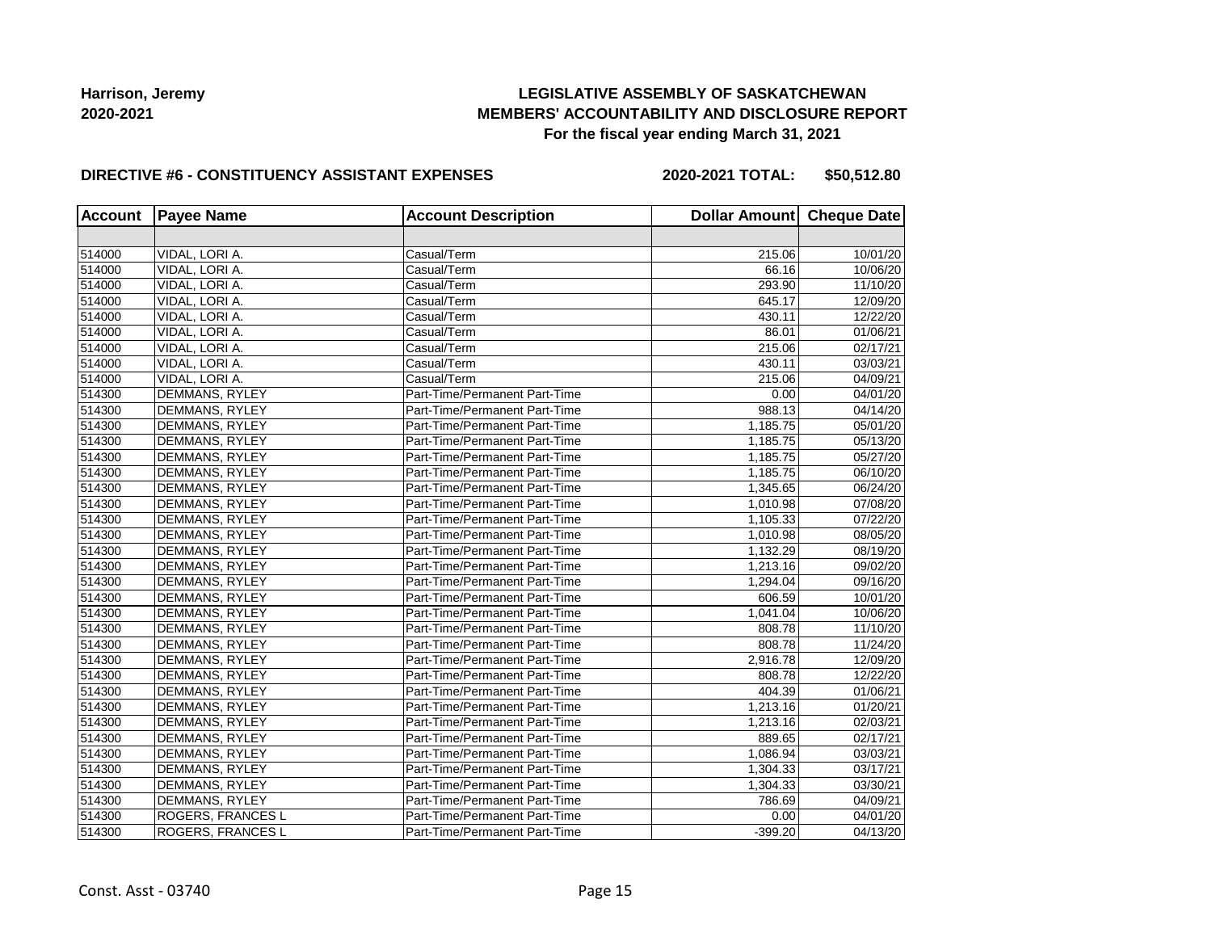## **LEGISLATIVE ASSEMBLY OF SASKATCHEWAN MEMBERS' ACCOUNTABILITY AND DISCLOSURE REPORT For the fiscal year ending March 31, 2021**

#### **DIRECTIVE #6 - CONSTITUENCY ASSISTANT EXPENSES**

**2020-2021 TOTAL: \$50,512.80**

| <b>Account</b> | <b>Payee Name</b>     | <b>Account Description</b>    | Dollar Amount Cheque Date |          |  |
|----------------|-----------------------|-------------------------------|---------------------------|----------|--|
|                |                       |                               |                           |          |  |
| 514000         | VIDAL, LORI A.        | Casual/Term                   | 215.06                    | 10/01/20 |  |
| 514000         | VIDAL, LORI A.        | Casual/Term                   | 66.16                     | 10/06/20 |  |
| 514000         | VIDAL, LORI A.        | Casual/Term                   | 293.90                    | 11/10/20 |  |
| 514000         | VIDAL, LORI A.        | Casual/Term                   | 645.17                    | 12/09/20 |  |
| 514000         | VIDAL, LORI A.        | Casual/Term                   | 430.11                    | 12/22/20 |  |
| 514000         | VIDAL, LORI A.        | Casual/Term                   | 86.01                     | 01/06/21 |  |
| 514000         | VIDAL, LORI A.        | Casual/Term                   | 215.06                    | 02/17/21 |  |
| 514000         | VIDAL, LORI A.        | Casual/Term                   | 430.11                    | 03/03/21 |  |
| 514000         | VIDAL, LORI A.        | Casual/Term                   | 215.06                    | 04/09/21 |  |
| 514300         | DEMMANS, RYLEY        | Part-Time/Permanent Part-Time | 0.00                      | 04/01/20 |  |
| 514300         | DEMMANS, RYLEY        | Part-Time/Permanent Part-Time | 988.13                    | 04/14/20 |  |
| 514300         | DEMMANS, RYLEY        | Part-Time/Permanent Part-Time | 1,185.75                  | 05/01/20 |  |
| 514300         | DEMMANS, RYLEY        | Part-Time/Permanent Part-Time | 1,185.75                  | 05/13/20 |  |
| 514300         | DEMMANS, RYLEY        | Part-Time/Permanent Part-Time | 1,185.75                  | 05/27/20 |  |
| 514300         | DEMMANS, RYLEY        | Part-Time/Permanent Part-Time | 1,185.75                  | 06/10/20 |  |
| 514300         | DEMMANS, RYLEY        | Part-Time/Permanent Part-Time | 1,345.65                  | 06/24/20 |  |
| 514300         | DEMMANS, RYLEY        | Part-Time/Permanent Part-Time | 1,010.98                  | 07/08/20 |  |
| 514300         | DEMMANS, RYLEY        | Part-Time/Permanent Part-Time | 1,105.33                  | 07/22/20 |  |
| 514300         | DEMMANS, RYLEY        | Part-Time/Permanent Part-Time | 1,010.98                  | 08/05/20 |  |
| 514300         | DEMMANS, RYLEY        | Part-Time/Permanent Part-Time | 1,132.29                  | 08/19/20 |  |
| 514300         | DEMMANS, RYLEY        | Part-Time/Permanent Part-Time | 1,213.16                  | 09/02/20 |  |
| 514300         | DEMMANS, RYLEY        | Part-Time/Permanent Part-Time | 1.294.04                  | 09/16/20 |  |
| 514300         | DEMMANS, RYLEY        | Part-Time/Permanent Part-Time | 606.59                    | 10/01/20 |  |
| 514300         | DEMMANS, RYLEY        | Part-Time/Permanent Part-Time | 1,041.04                  | 10/06/20 |  |
| 514300         | DEMMANS, RYLEY        | Part-Time/Permanent Part-Time | 808.78                    | 11/10/20 |  |
| 514300         | DEMMANS, RYLEY        | Part-Time/Permanent Part-Time | 808.78                    | 11/24/20 |  |
| 514300         | DEMMANS, RYLEY        | Part-Time/Permanent Part-Time | 2,916.78                  | 12/09/20 |  |
| 514300         | DEMMANS, RYLEY        | Part-Time/Permanent Part-Time | 808.78                    | 12/22/20 |  |
| 514300         | DEMMANS, RYLEY        | Part-Time/Permanent Part-Time | 404.39                    | 01/06/21 |  |
| 514300         | DEMMANS, RYLEY        | Part-Time/Permanent Part-Time | 1,213.16                  | 01/20/21 |  |
| 514300         | DEMMANS, RYLEY        | Part-Time/Permanent Part-Time | 1,213.16                  | 02/03/21 |  |
| 514300         | DEMMANS, RYLEY        | Part-Time/Permanent Part-Time | 889.65                    | 02/17/21 |  |
| 514300         | DEMMANS, RYLEY        | Part-Time/Permanent Part-Time | 1,086.94                  | 03/03/21 |  |
| 514300         | DEMMANS, RYLEY        | Part-Time/Permanent Part-Time | 1,304.33                  | 03/17/21 |  |
| 514300         | <b>DEMMANS, RYLEY</b> | Part-Time/Permanent Part-Time | 1,304.33                  | 03/30/21 |  |
| 514300         | DEMMANS, RYLEY        | Part-Time/Permanent Part-Time | 786.69                    | 04/09/21 |  |
| 514300         | ROGERS, FRANCES L     | Part-Time/Permanent Part-Time | 0.00                      | 04/01/20 |  |
| 514300         | ROGERS, FRANCES L     | Part-Time/Permanent Part-Time | $-399.20$                 | 04/13/20 |  |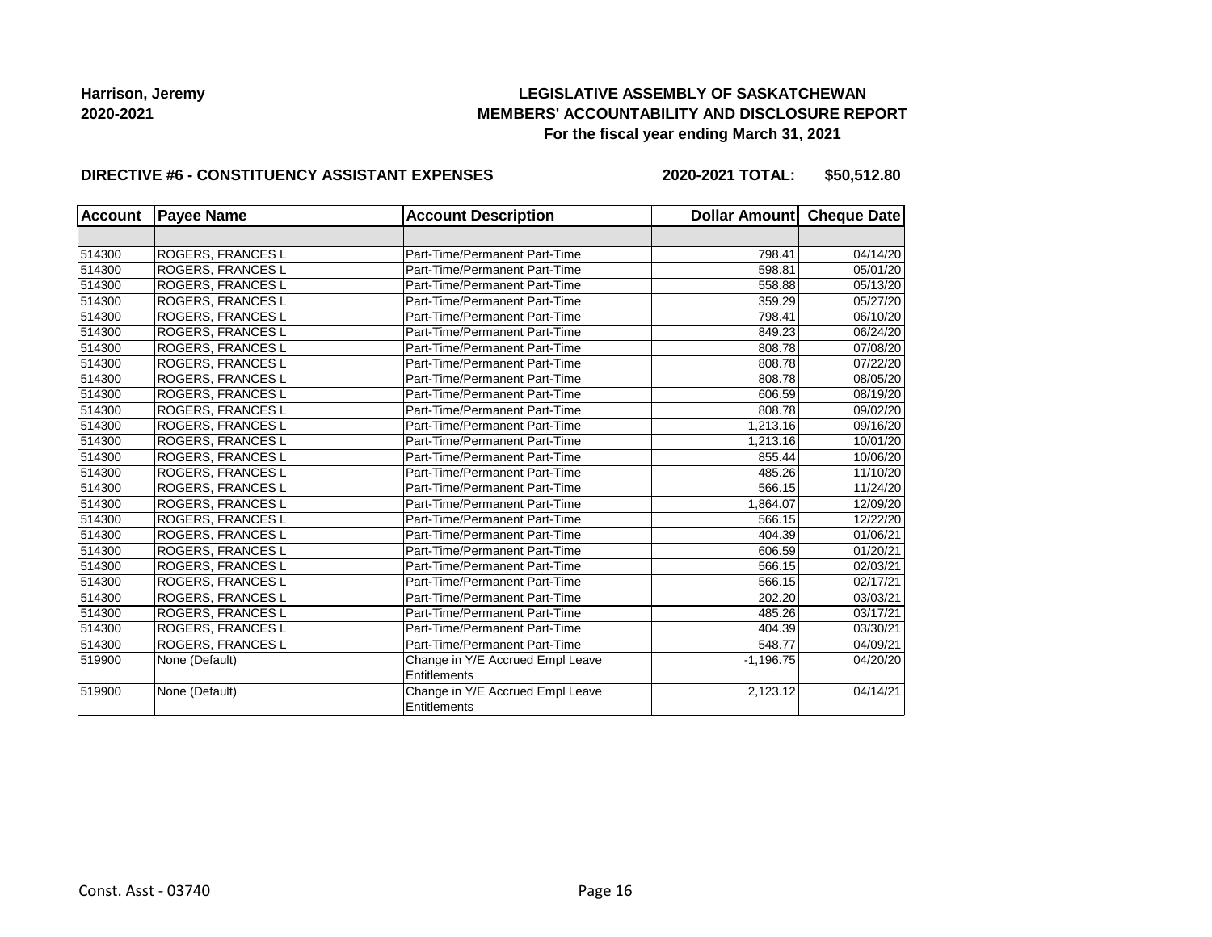## **LEGISLATIVE ASSEMBLY OF SASKATCHEWAN MEMBERS' ACCOUNTABILITY AND DISCLOSURE REPORT For the fiscal year ending March 31, 2021**

#### **DIRECTIVE #6 - CONSTITUENCY ASSISTANT EXPENSES**

**2020-2021 TOTAL: \$50,512.80**

| <b>Account</b> | <b>Payee Name</b> | <b>Account Description</b>                       | Dollar Amount Cheque Date |          |  |
|----------------|-------------------|--------------------------------------------------|---------------------------|----------|--|
|                |                   |                                                  |                           |          |  |
| 514300         | ROGERS, FRANCES L | Part-Time/Permanent Part-Time                    | 798.41                    | 04/14/20 |  |
| 514300         | ROGERS, FRANCES L | Part-Time/Permanent Part-Time                    | 598.81                    | 05/01/20 |  |
| 514300         | ROGERS, FRANCES L | Part-Time/Permanent Part-Time                    | 558.88                    | 05/13/20 |  |
| 514300         | ROGERS, FRANCES L | Part-Time/Permanent Part-Time                    | 359.29                    | 05/27/20 |  |
| 514300         | ROGERS, FRANCES L | Part-Time/Permanent Part-Time                    | 798.41                    | 06/10/20 |  |
| 514300         | ROGERS, FRANCES L | Part-Time/Permanent Part-Time                    | 849.23                    | 06/24/20 |  |
| 514300         | ROGERS, FRANCES L | Part-Time/Permanent Part-Time                    | 808.78                    | 07/08/20 |  |
| 514300         | ROGERS, FRANCES L | Part-Time/Permanent Part-Time                    | 808.78                    | 07/22/20 |  |
| 514300         | ROGERS, FRANCES L | Part-Time/Permanent Part-Time                    | 808.78                    | 08/05/20 |  |
| 514300         | ROGERS, FRANCES L | Part-Time/Permanent Part-Time                    | 606.59                    | 08/19/20 |  |
| 514300         | ROGERS, FRANCES L | Part-Time/Permanent Part-Time                    | 808.78                    | 09/02/20 |  |
| 514300         | ROGERS, FRANCES L | Part-Time/Permanent Part-Time                    | 1.213.16                  | 09/16/20 |  |
| 514300         | ROGERS, FRANCES L | Part-Time/Permanent Part-Time                    | 1.213.16                  | 10/01/20 |  |
| 514300         | ROGERS, FRANCES L | Part-Time/Permanent Part-Time                    | 855.44                    | 10/06/20 |  |
| 514300         | ROGERS, FRANCES L | Part-Time/Permanent Part-Time                    | 485.26                    | 11/10/20 |  |
| 514300         | ROGERS, FRANCES L | Part-Time/Permanent Part-Time                    | 566.15                    | 11/24/20 |  |
| 514300         | ROGERS, FRANCES L | Part-Time/Permanent Part-Time                    | 1,864.07                  | 12/09/20 |  |
| 514300         | ROGERS, FRANCES L | Part-Time/Permanent Part-Time                    | 566.15                    | 12/22/20 |  |
| 514300         | ROGERS, FRANCES L | Part-Time/Permanent Part-Time                    | 404.39                    | 01/06/21 |  |
| 514300         | ROGERS, FRANCES L | Part-Time/Permanent Part-Time                    | 606.59                    | 01/20/21 |  |
| 514300         | ROGERS, FRANCES L | Part-Time/Permanent Part-Time                    | 566.15                    | 02/03/21 |  |
| 514300         | ROGERS, FRANCES L | Part-Time/Permanent Part-Time                    | 566.15                    | 02/17/21 |  |
| 514300         | ROGERS, FRANCES L | Part-Time/Permanent Part-Time                    | 202.20                    | 03/03/21 |  |
| 514300         | ROGERS, FRANCES L | Part-Time/Permanent Part-Time                    | 485.26                    | 03/17/21 |  |
| 514300         | ROGERS, FRANCES L | Part-Time/Permanent Part-Time                    | 404.39                    | 03/30/21 |  |
| 514300         | ROGERS, FRANCES L | Part-Time/Permanent Part-Time                    | 548.77                    | 04/09/21 |  |
| 519900         | None (Default)    | Change in Y/E Accrued Empl Leave                 | $-1,196.75$               | 04/20/20 |  |
|                |                   | Entitlements                                     |                           |          |  |
| 519900         | None (Default)    | Change in Y/E Accrued Empl Leave<br>Entitlements | 2,123.12                  | 04/14/21 |  |